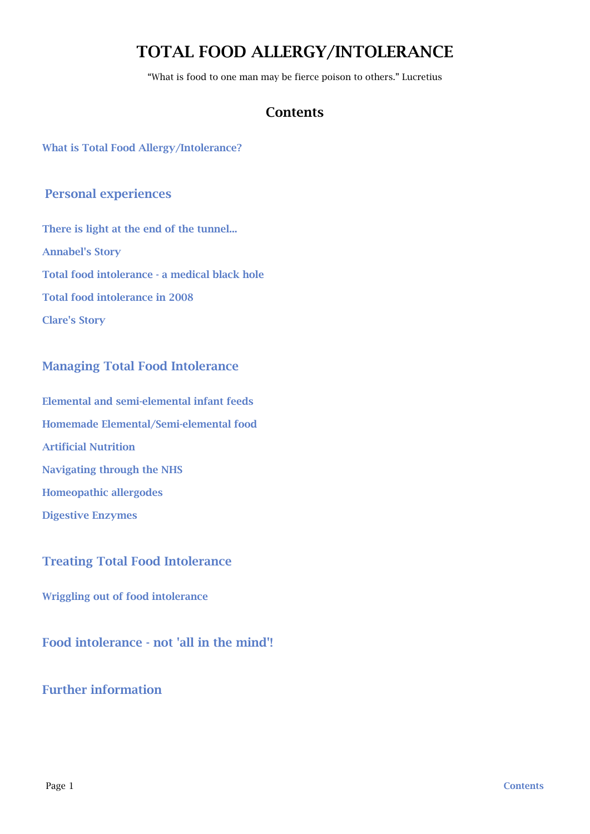# TOTAL FOOD ALLERGY/INTOLERANCE

"What is food to one man may be fierce poison to others." Lucretius

## <span id="page-0-0"></span>Contents

[What is Total Food Allergy/Intolerance?](#page-1-0)

## [Personal experiences](#page-1-1)

[There is light at the end of the tunnel...](#page-1-2) [Annabel's Story](#page-3-0) [Total food intolerance - a medical black hole](#page-4-0) [Total food intolerance in 2008](#page-7-0) [Clare's Story](#page-8-0)

## [Managing Total Food Intolerance](#page-11-0)

[Elemental and semi-elemental infant feeds](#page-11-1) [Homemade Elemental/Semi-elemental food](#page-14-0) [Artificial Nutrition](#page-14-1) [Navigating through the NHS](#page-16-0) [Homeopathic allergodes](#page-17-0) [Digestive Enzymes](#page-18-0)

## [Treating Total Food Intolerance](#page-18-1)

[Wriggling out of food intolerance](#page-18-2)

[Food intolerance - not 'all in the mind'!](#page-23-0)

## [Further information](#page-26-0)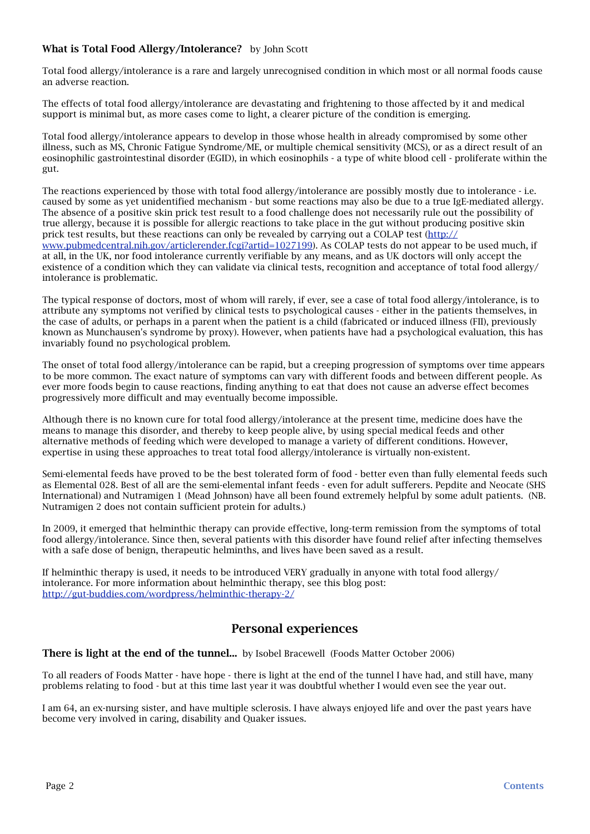### <span id="page-1-0"></span>What is Total Food Allergy/Intolerance?by John Scott

Total food allergy/intolerance is a rare and largely unrecognised condition in which most or all normal foods cause an adverse reaction.

The effects of total food allergy/intolerance are devastating and frightening to those affected by it and medical support is minimal but, as more cases come to light, a clearer picture of the condition is emerging.

Total food allergy/intolerance appears to develop in those whose health in already compromised by some other illness, such as MS, Chronic Fatigue Syndrome/ME, or multiple chemical sensitivity (MCS), or as a direct result of an eosinophilic gastrointestinal disorder (EGID), in which eosinophils - a type of white blood cell - proliferate within the gut.

The reactions experienced by those with total food allergy/intolerance are possibly mostly due to intolerance - i.e. caused by some as yet unidentified mechanism - but some reactions may also be due to a true IgE-mediated allergy. The absence of a positive skin prick test result to a food challenge does not necessarily rule out the possibility of true allergy, because it is possible for allergic reactions to take place in the gut without producing positive skin prick test results, but these reactions can only be revealed by carrying out a COLAP test ([http://](http://www.pubmedcentral.nih.gov/articlerender.fcgi?artid=1027199) [www.pubmedcentral.nih.gov/articlerender.fcgi?artid=1027199\)](http://www.pubmedcentral.nih.gov/articlerender.fcgi?artid=1027199). As COLAP tests do not appear to be used much, if at all, in the UK, nor food intolerance currently verifiable by any means, and as UK doctors will only accept the existence of a condition which they can validate via clinical tests, recognition and acceptance of total food allergy/ intolerance is problematic.

The typical response of doctors, most of whom will rarely, if ever, see a case of total food allergy/intolerance, is to attribute any symptoms not verified by clinical tests to psychological causes - either in the patients themselves, in the case of adults, or perhaps in a parent when the patient is a child (fabricated or induced illness (FII), previously known as Munchausen's syndrome by proxy). However, when patients have had a psychological evaluation, this has invariably found no psychological problem.

The onset of total food allergy/intolerance can be rapid, but a creeping progression of symptoms over time appears to be more common. The exact nature of symptoms can vary with different foods and between different people. As ever more foods begin to cause reactions, finding anything to eat that does not cause an adverse effect becomes progressively more difficult and may eventually become impossible.

Although there is no known cure for total food allergy/intolerance at the present time, medicine does have the means to manage this disorder, and thereby to keep people alive, by using special medical feeds and other alternative methods of feeding which were developed to manage a variety of different conditions. However, expertise in using these approaches to treat total food allergy/intolerance is virtually non-existent.

Semi-elemental feeds have proved to be the best tolerated form of food - better even than fully elemental feeds such as Elemental 028. Best of all are the semi-elemental infant feeds - even for adult sufferers. Pepdite and Neocate (SHS International) and Nutramigen 1 (Mead Johnson) have all been found extremely helpful by some adult patients. (NB. Nutramigen 2 does not contain sufficient protein for adults.)

In 2009, it emerged that helminthic therapy can provide effective, long-term remission from the symptoms of total food allergy/intolerance. Since then, several patients with this disorder have found relief after infecting themselves with a safe dose of benign, therapeutic helminths, and lives have been saved as a result.

If helminthic therapy is used, it needs to be introduced VERY gradually in anyone with total food allergy/ intolerance. For more information about helminthic therapy, see this blog post: <http://gut-buddies.com/wordpress/helminthic-therapy-2/>

## <span id="page-1-1"></span>Personal experiences

<span id="page-1-2"></span>There is light at the end of the tunnel... by Isobel Bracewell (Foods Matter October 2006)

To all readers of Foods Matter - have hope - there is light at the end of the tunnel I have had, and still have, many problems relating to food - but at this time last year it was doubtful whether I would even see the year out.

I am 64, an ex-nursing sister, and have multiple sclerosis. I have always enjoyed life and over the past years have become very involved in caring, disability and Quaker issues.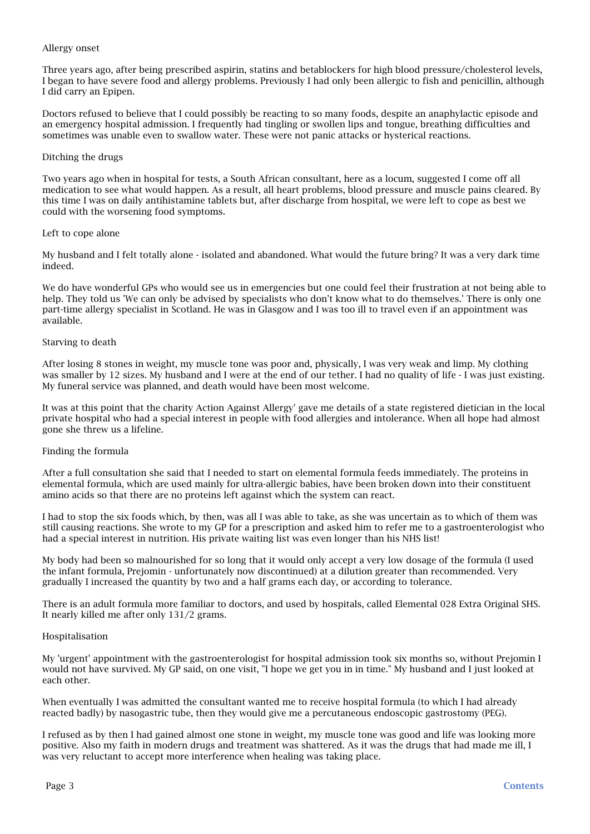### Allergy onset

Three years ago, after being prescribed aspirin, statins and betablockers for high blood pressure/cholesterol levels, I began to have severe food and allergy problems. Previously I had only been allergic to fish and penicillin, although I did carry an Epipen.

Doctors refused to believe that I could possibly be reacting to so many foods, despite an anaphylactic episode and an emergency hospital admission. I frequently had tingling or swollen lips and tongue, breathing difficulties and sometimes was unable even to swallow water. These were not panic attacks or hysterical reactions.

### Ditching the drugs

Two years ago when in hospital for tests, a South African consultant, here as a locum, suggested I come off all medication to see what would happen. As a result, all heart problems, blood pressure and muscle pains cleared. By this time I was on daily antihistamine tablets but, after discharge from hospital, we were left to cope as best we could with the worsening food symptoms.

### Left to cope alone

My husband and I felt totally alone - isolated and abandoned. What would the future bring? It was a very dark time indeed.

We do have wonderful GPs who would see us in emergencies but one could feel their frustration at not being able to help. They told us 'We can only be advised by specialists who don't know what to do themselves.' There is only one part-time allergy specialist in Scotland. He was in Glasgow and I was too ill to travel even if an appointment was available.

### Starving to death

After losing 8 stones in weight, my muscle tone was poor and, physically, I was very weak and limp. My clothing was smaller by 12 sizes. My husband and I were at the end of our tether. I had no quality of life - I was just existing. My funeral service was planned, and death would have been most welcome.

It was at this point that the charity Action Against Allergy' gave me details of a state registered dietician in the local private hospital who had a special interest in people with food allergies and intolerance. When all hope had almost gone she threw us a lifeline.

### Finding the formula

After a full consultation she said that I needed to start on elemental formula feeds immediately. The proteins in elemental formula, which are used mainly for ultra-allergic babies, have been broken down into their constituent amino acids so that there are no proteins left against which the system can react.

I had to stop the six foods which, by then, was all I was able to take, as she was uncertain as to which of them was still causing reactions. She wrote to my GP for a prescription and asked him to refer me to a gastroenterologist who had a special interest in nutrition. His private waiting list was even longer than his NHS list!

My body had been so malnourished for so long that it would only accept a very low dosage of the formula (I used the infant formula, Prejomin - unfortunately now discontinued) at a dilution greater than recommended. Very gradually I increased the quantity by two and a half grams each day, or according to tolerance.

There is an adult formula more familiar to doctors, and used by hospitals, called Elemental 028 Extra Original SHS. It nearly killed me after only 131/2 grams.

### Hospitalisation

My 'urgent' appointment with the gastroenterologist for hospital admission took six months so, without Prejomin I would not have survived. My GP said, on one visit, "I hope we get you in in time." My husband and I just looked at each other.

When eventually I was admitted the consultant wanted me to receive hospital formula (to which I had already reacted badly) by nasogastric tube, then they would give me a percutaneous endoscopic gastrostomy (PEG).

I refused as by then I had gained almost one stone in weight, my muscle tone was good and life was looking more positive. Also my faith in modern drugs and treatment was shattered. As it was the drugs that had made me ill, I was very reluctant to accept more interference when healing was taking place.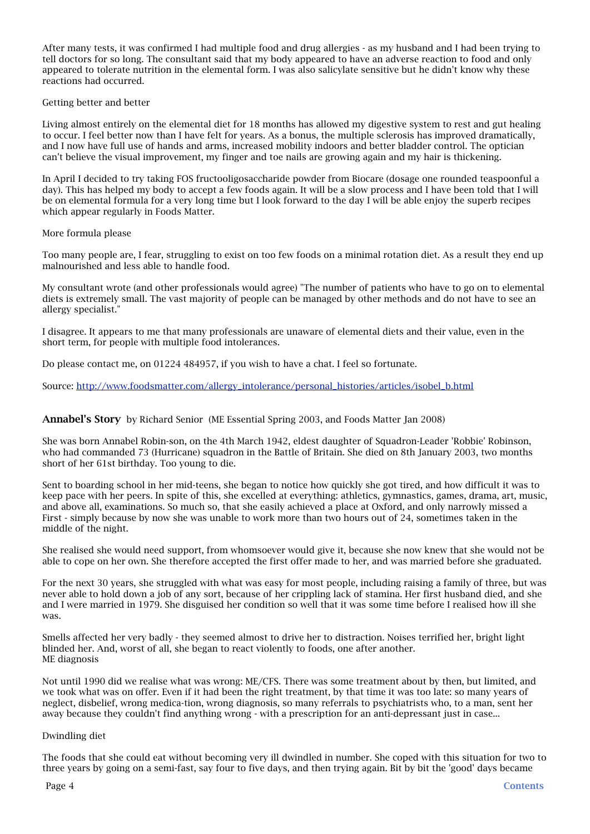After many tests, it was confirmed I had multiple food and drug allergies - as my husband and I had been trying to tell doctors for so long. The consultant said that my body appeared to have an adverse reaction to food and only appeared to tolerate nutrition in the elemental form. I was also salicylate sensitive but he didn't know why these reactions had occurred.

### Getting better and better

Living almost entirely on the elemental diet for 18 months has allowed my digestive system to rest and gut healing to occur. I feel better now than I have felt for years. As a bonus, the multiple sclerosis has improved dramatically, and I now have full use of hands and arms, increased mobility indoors and better bladder control. The optician can't believe the visual improvement, my finger and toe nails are growing again and my hair is thickening.

In April I decided to try taking FOS fructooligosaccharide powder from Biocare (dosage one rounded teaspoonful a day). This has helped my body to accept a few foods again. It will be a slow process and I have been told that I will be on elemental formula for a very long time but I look forward to the day I will be able enjoy the superb recipes which appear regularly in Foods Matter.

### More formula please

Too many people are, I fear, struggling to exist on too few foods on a minimal rotation diet. As a result they end up malnourished and less able to handle food.

My consultant wrote (and other professionals would agree) "The number of patients who have to go on to elemental diets is extremely small. The vast majority of people can be managed by other methods and do not have to see an allergy specialist."

I disagree. It appears to me that many professionals are unaware of elemental diets and their value, even in the short term, for people with multiple food intolerances.

Do please contact me, on 01224 484957, if you wish to have a chat. I feel so fortunate.

Source: [http://www.foodsmatter.com/allergy\\_intolerance/personal\\_histories/articles/isobel\\_b.html](http://www.foodsmatter.com/allergy_intolerance/personal_histories/articles/isobel_b.html)

### <span id="page-3-0"></span>Annabel's Storyby Richard Senior(ME Essential Spring 2003, and Foods Matter Jan 2008)

She was born Annabel Robin-son, on the 4th March 1942, eldest daughter of Squadron-Leader 'Robbie' Robinson, who had commanded 73 (Hurricane) squadron in the Battle of Britain. She died on 8th January 2003, two months short of her 61st birthday. Too young to die.

Sent to boarding school in her mid-teens, she began to notice how quickly she got tired, and how difficult it was to keep pace with her peers. In spite of this, she excelled at everything: athletics, gymnastics, games, drama, art, music, and above all, examinations. So much so, that she easily achieved a place at Oxford, and only narrowly missed a First - simply because by now she was unable to work more than two hours out of 24, sometimes taken in the middle of the night.

She realised she would need support, from whomsoever would give it, because she now knew that she would not be able to cope on her own. She therefore accepted the first offer made to her, and was married before she graduated.

For the next 30 years, she struggled with what was easy for most people, including raising a family of three, but was never able to hold down a job of any sort, because of her crippling lack of stamina. Her first husband died, and she and I were married in 1979. She disguised her condition so well that it was some time before I realised how ill she was.

Smells affected her very badly - they seemed almost to drive her to distraction. Noises terrified her, bright light blinded her. And, worst of all, she began to react violently to foods, one after another. ME diagnosis

Not until 1990 did we realise what was wrong: ME/CFS. There was some treatment about by then, but limited, and we took what was on offer. Even if it had been the right treatment, by that time it was too late: so many years of neglect, disbelief, wrong medica-tion, wrong diagnosis, so many referrals to psychiatrists who, to a man, sent her away because they couldn't find anything wrong - with a prescription for an anti-depressant just in case...

#### Dwindling diet

The foods that she could eat without becoming very ill dwindled in number. She coped with this situation for two to three years by going on a semi-fast, say four to five days, and then trying again. Bit by bit the 'good' days became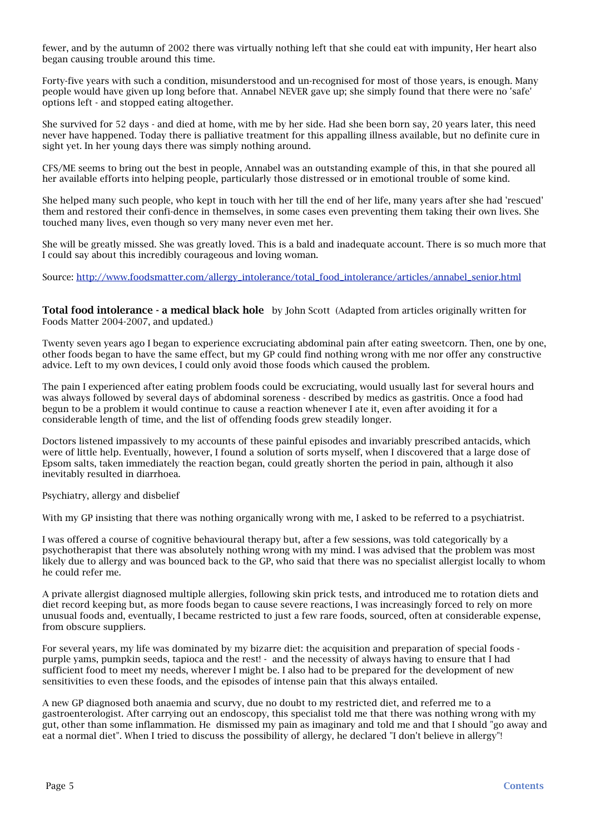fewer, and by the autumn of 2002 there was virtually nothing left that she could eat with impunity, Her heart also began causing trouble around this time.

Forty-five years with such a condition, misunderstood and un-recognised for most of those years, is enough. Many people would have given up long before that. Annabel NEVER gave up; she simply found that there were no 'safe' options left - and stopped eating altogether.

She survived for 52 days - and died at home, with me by her side. Had she been born say, 20 years later, this need never have happened. Today there is palliative treatment for this appalling illness available, but no definite cure in sight yet. In her young days there was simply nothing around.

CFS/ME seems to bring out the best in people, Annabel was an outstanding example of this, in that she poured all her available efforts into helping people, particularly those distressed or in emotional trouble of some kind.

She helped many such people, who kept in touch with her till the end of her life, many years after she had 'rescued' them and restored their confi-dence in themselves, in some cases even preventing them taking their own lives. She touched many lives, even though so very many never even met her.

She will be greatly missed. She was greatly loved. This is a bald and inadequate account. There is so much more that I could say about this incredibly courageous and loving woman.

Source: [http://www.foodsmatter.com/allergy\\_intolerance/total\\_food\\_intolerance/articles/annabel\\_senior.html](http://www.foodsmatter.com/allergy_intolerance/total_food_intolerance/articles/annabel_senior.html)

<span id="page-4-0"></span>Total food intolerance - a medical black hole by John Scott (Adapted from articles originally written for Foods Matter 2004-2007, and updated.)

Twenty seven years ago I began to experience excruciating abdominal pain after eating sweetcorn. Then, one by one, other foods began to have the same effect, but my GP could find nothing wrong with me nor offer any constructive advice. Left to my own devices, I could only avoid those foods which caused the problem.

The pain I experienced after eating problem foods could be excruciating, would usually last for several hours and was always followed by several days of abdominal soreness - described by medics as gastritis. Once a food had begun to be a problem it would continue to cause a reaction whenever I ate it, even after avoiding it for a considerable length of time, and the list of offending foods grew steadily longer.

Doctors listened impassively to my accounts of these painful episodes and invariably prescribed antacids, which were of little help. Eventually, however, I found a solution of sorts myself, when I discovered that a large dose of Epsom salts, taken immediately the reaction began, could greatly shorten the period in pain, although it also inevitably resulted in diarrhoea.

Psychiatry, allergy and disbelief

With my GP insisting that there was nothing organically wrong with me, I asked to be referred to a psychiatrist.

I was offered a course of cognitive behavioural therapy but, after a few sessions, was told categorically by a psychotherapist that there was absolutely nothing wrong with my mind. I was advised that the problem was most likely due to allergy and was bounced back to the GP, who said that there was no specialist allergist locally to whom he could refer me.

A private allergist diagnosed multiple allergies, following skin prick tests, and introduced me to rotation diets and diet record keeping but, as more foods began to cause severe reactions, I was increasingly forced to rely on more unusual foods and, eventually, I became restricted to just a few rare foods, sourced, often at considerable expense, from obscure suppliers.

For several years, my life was dominated by my bizarre diet: the acquisition and preparation of special foods purple yams, pumpkin seeds, tapioca and the rest! - and the necessity of always having to ensure that I had sufficient food to meet my needs, wherever I might be. I also had to be prepared for the development of new sensitivities to even these foods, and the episodes of intense pain that this always entailed.

A new GP diagnosed both anaemia and scurvy, due no doubt to my restricted diet, and referred me to a gastroenterologist. After carrying out an endoscopy, this specialist told me that there was nothing wrong with my gut, other than some inflammation. He dismissed my pain as imaginary and told me and that I should "go away and eat a normal diet". When I tried to discuss the possibility of allergy, he declared "I don't believe in allergy"!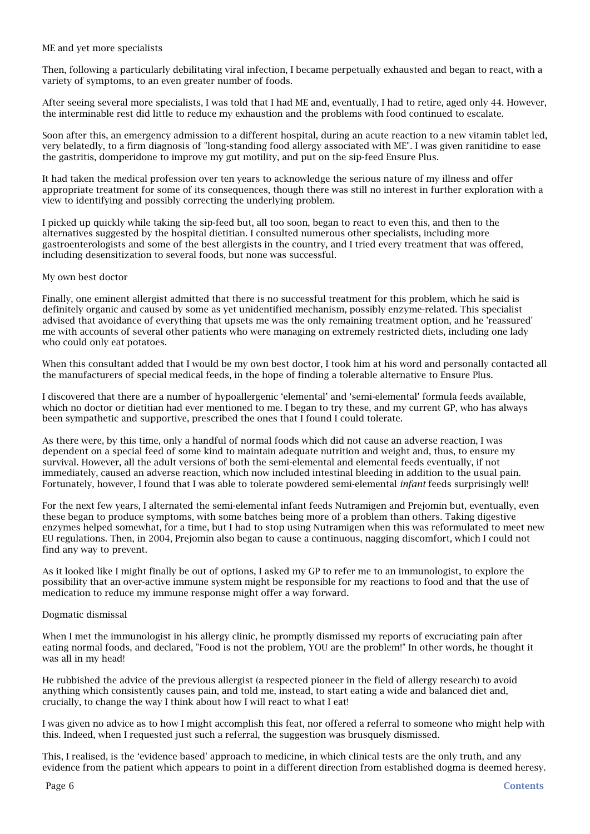### ME and yet more specialists

Then, following a particularly debilitating viral infection, I became perpetually exhausted and began to react, with a variety of symptoms, to an even greater number of foods.

After seeing several more specialists, I was told that I had ME and, eventually, I had to retire, aged only 44. However, the interminable rest did little to reduce my exhaustion and the problems with food continued to escalate.

Soon after this, an emergency admission to a different hospital, during an acute reaction to a new vitamin tablet led, very belatedly, to a firm diagnosis of "long-standing food allergy associated with ME". I was given ranitidine to ease the gastritis, domperidone to improve my gut motility, and put on the sip-feed Ensure Plus.

It had taken the medical profession over ten years to acknowledge the serious nature of my illness and offer appropriate treatment for some of its consequences, though there was still no interest in further exploration with a view to identifying and possibly correcting the underlying problem.

I picked up quickly while taking the sip-feed but, all too soon, began to react to even this, and then to the alternatives suggested by the hospital dietitian. I consulted numerous other specialists, including more gastroenterologists and some of the best allergists in the country, and I tried every treatment that was offered, including desensitization to several foods, but none was successful.

### My own best doctor

Finally, one eminent allergist admitted that there is no successful treatment for this problem, which he said is definitely organic and caused by some as yet unidentified mechanism, possibly enzyme-related. This specialist advised that avoidance of everything that upsets me was the only remaining treatment option, and he 'reassured' me with accounts of several other patients who were managing on extremely restricted diets, including one lady who could only eat potatoes.

When this consultant added that I would be my own best doctor, I took him at his word and personally contacted all the manufacturers of special medical feeds, in the hope of finding a tolerable alternative to Ensure Plus.

I discovered that there are a number of hypoallergenic 'elemental' and 'semi-elemental' formula feeds available, which no doctor or dietitian had ever mentioned to me. I began to try these, and my current GP, who has always been sympathetic and supportive, prescribed the ones that I found I could tolerate.

As there were, by this time, only a handful of normal foods which did not cause an adverse reaction, I was dependent on a special feed of some kind to maintain adequate nutrition and weight and, thus, to ensure my survival. However, all the adult versions of both the semi-elemental and elemental feeds eventually, if not immediately, caused an adverse reaction, which now included intestinal bleeding in addition to the usual pain. Fortunately, however, I found that I was able to tolerate powdered semi-elemental *infant* feeds surprisingly well!

For the next few years, I alternated the semi-elemental infant feeds Nutramigen and Prejomin but, eventually, even these began to produce symptoms, with some batches being more of a problem than others. Taking digestive enzymes helped somewhat, for a time, but I had to stop using Nutramigen when this was reformulated to meet new EU regulations. Then, in 2004, Prejomin also began to cause a continuous, nagging discomfort, which I could not find any way to prevent.

As it looked like I might finally be out of options, I asked my GP to refer me to an immunologist, to explore the possibility that an over-active immune system might be responsible for my reactions to food and that the use of medication to reduce my immune response might offer a way forward.

### Dogmatic dismissal

When I met the immunologist in his allergy clinic, he promptly dismissed my reports of excruciating pain after eating normal foods, and declared, "Food is not the problem, YOU are the problem!" In other words, he thought it was all in my head!

He rubbished the advice of the previous allergist (a respected pioneer in the field of allergy research) to avoid anything which consistently causes pain, and told me, instead, to start eating a wide and balanced diet and, crucially, to change the way I think about how I will react to what I eat!

I was given no advice as to how I might accomplish this feat, nor offered a referral to someone who might help with this. Indeed, when I requested just such a referral, the suggestion was brusquely dismissed.

This, I realised, is the 'evidence based' approach to medicine, in which clinical tests are the only truth, and any evidence from the patient which appears to point in a different direction from established dogma is deemed heresy.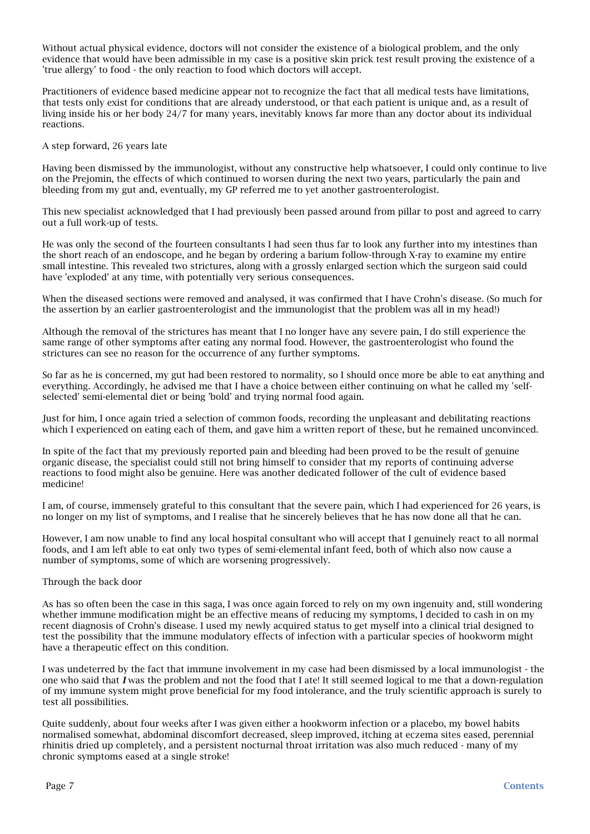Without actual physical evidence, doctors will not consider the existence of a biological problem, and the only evidence that would have been admissible in my case is a positive skin prick test result proving the existence of a 'true allergy' to food - the only reaction to food which doctors will accept.

Practitioners of evidence based medicine appear not to recognize the fact that all medical tests have limitations, that tests only exist for conditions that are already understood, or that each patient is unique and, as a result of living inside his or her body 24/7 for many years, inevitably knows far more than any doctor about its individual reactions.

### A step forward, 26 years late

Having been dismissed by the immunologist, without any constructive help whatsoever, I could only continue to live on the Prejomin, the effects of which continued to worsen during the next two years, particularly the pain and bleeding from my gut and, eventually, my GP referred me to yet another gastroenterologist.

This new specialist acknowledged that I had previously been passed around from pillar to post and agreed to carry out a full work-up of tests.

He was only the second of the fourteen consultants I had seen thus far to look any further into my intestines than the short reach of an endoscope, and he began by ordering a barium follow-through X-ray to examine my entire small intestine. This revealed two strictures, along with a grossly enlarged section which the surgeon said could have 'exploded' at any time, with potentially very serious consequences.

When the diseased sections were removed and analysed, it was confirmed that I have Crohn's disease. (So much for the assertion by an earlier gastroenterologist and the immunologist that the problem was all in my head!)

Although the removal of the strictures has meant that I no longer have any severe pain, I do still experience the same range of other symptoms after eating any normal food. However, the gastroenterologist who found the strictures can see no reason for the occurrence of any further symptoms.

So far as he is concerned, my gut had been restored to normality, so I should once more be able to eat anything and everything. Accordingly, he advised me that I have a choice between either continuing on what he called my 'selfselected' semi-elemental diet or being 'bold' and trying normal food again.

Just for him, I once again tried a selection of common foods, recording the unpleasant and debilitating reactions which I experienced on eating each of them, and gave him a written report of these, but he remained unconvinced.

In spite of the fact that my previously reported pain and bleeding had been proved to be the result of genuine organic disease, the specialist could still not bring himself to consider that my reports of continuing adverse reactions to food might also be genuine. Here was another dedicated follower of the cult of evidence based medicine!

I am, of course, immensely grateful to this consultant that the severe pain, which I had experienced for 26 years, is no longer on my list of symptoms, and I realise that he sincerely believes that he has now done all that he can.

However, I am now unable to find any local hospital consultant who will accept that I genuinely react to all normal foods, and I am left able to eat only two types of semi-elemental infant feed, both of which also now cause a number of symptoms, some of which are worsening progressively.

### Through the back door

As has so often been the case in this saga, I was once again forced to rely on my own ingenuity and, still wondering whether immune modification might be an effective means of reducing my symptoms, I decided to cash in on my recent diagnosis of Crohn's disease. I used my newly acquired status to get myself into a clinical trial designed to test the possibility that the immune modulatory effects of infection with a particular species of hookworm might have a therapeutic effect on this condition.

I was undeterred by the fact that immune involvement in my case had been dismissed by a local immunologist - the one who said that *I* was the problem and not the food that I ate! It still seemed logical to me that a down-regulation of my immune system might prove beneficial for my food intolerance, and the truly scientific approach is surely to test all possibilities.

Quite suddenly, about four weeks after I was given either a hookworm infection or a placebo, my bowel habits normalised somewhat, abdominal discomfort decreased, sleep improved, itching at eczema sites eased, perennial rhinitis dried up completely, and a persistent nocturnal throat irritation was also much reduced - many of my chronic symptoms eased at a single stroke!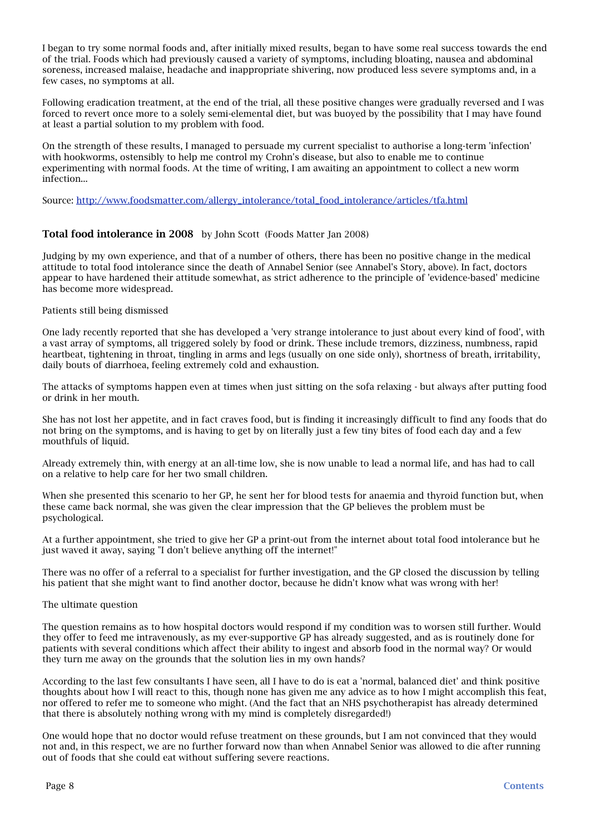I began to try some normal foods and, after initially mixed results, began to have some real success towards the end of the trial. Foods which had previously caused a variety of symptoms, including bloating, nausea and abdominal soreness, increased malaise, headache and inappropriate shivering, now produced less severe symptoms and, in a few cases, no symptoms at all.

Following eradication treatment, at the end of the trial, all these positive changes were gradually reversed and I was forced to revert once more to a solely semi-elemental diet, but was buoyed by the possibility that I may have found at least a partial solution to my problem with food.

On the strength of these results, I managed to persuade my current specialist to authorise a long-term 'infection' with hookworms, ostensibly to help me control my Crohn's disease, but also to enable me to continue experimenting with normal foods. At the time of writing, I am awaiting an appointment to collect a new worm infection...

Source: [http://www.foodsmatter.com/allergy\\_intolerance/total\\_food\\_intolerance/articles/tfa.html](http://www.foodsmatter.com/allergy_intolerance/total_food_intolerance/articles/tfa.html)

### <span id="page-7-0"></span>Total food intolerance in 2008 by John Scott (Foods Matter Jan 2008)

Judging by my own experience, and that of a number of others, there has been no positive change in the medical attitude to total food intolerance since the death of Annabel Senior (see Annabel's Story, above). In fact, doctors appear to have hardened their attitude somewhat, as strict adherence to the principle of 'evidence-based' medicine has become more widespread.

### Patients still being dismissed

One lady recently reported that she has developed a 'very strange intolerance to just about every kind of food', with a vast array of symptoms, all triggered solely by food or drink. These include tremors, dizziness, numbness, rapid heartbeat, tightening in throat, tingling in arms and legs (usually on one side only), shortness of breath, irritability, daily bouts of diarrhoea, feeling extremely cold and exhaustion.

The attacks of symptoms happen even at times when just sitting on the sofa relaxing - but always after putting food or drink in her mouth.

She has not lost her appetite, and in fact craves food, but is finding it increasingly difficult to find any foods that do not bring on the symptoms, and is having to get by on literally just a few tiny bites of food each day and a few mouthfuls of liquid.

Already extremely thin, with energy at an all-time low, she is now unable to lead a normal life, and has had to call on a relative to help care for her two small children.

When she presented this scenario to her GP, he sent her for blood tests for anaemia and thyroid function but, when these came back normal, she was given the clear impression that the GP believes the problem must be psychological.

At a further appointment, she tried to give her GP a print-out from the internet about total food intolerance but he just waved it away, saying "I don't believe anything off the internet!"

There was no offer of a referral to a specialist for further investigation, and the GP closed the discussion by telling his patient that she might want to find another doctor, because he didn't know what was wrong with her!

#### The ultimate question

The question remains as to how hospital doctors would respond if my condition was to worsen still further. Would they offer to feed me intravenously, as my ever-supportive GP has already suggested, and as is routinely done for patients with several conditions which affect their ability to ingest and absorb food in the normal way? Or would they turn me away on the grounds that the solution lies in my own hands?

According to the last few consultants I have seen, all I have to do is eat a 'normal, balanced diet' and think positive thoughts about how I will react to this, though none has given me any advice as to how I might accomplish this feat, nor offered to refer me to someone who might. (And the fact that an NHS psychotherapist has already determined that there is absolutely nothing wrong with my mind is completely disregarded!)

One would hope that no doctor would refuse treatment on these grounds, but I am not convinced that they would not and, in this respect, we are no further forward now than when Annabel Senior was allowed to die after running out of foods that she could eat without suffering severe reactions.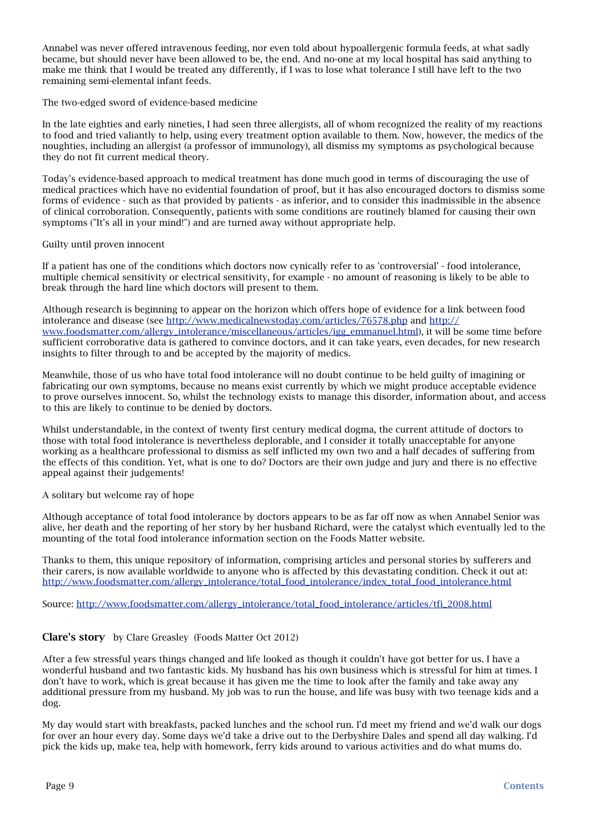Annabel was never offered intravenous feeding, nor even told about hypoallergenic formula feeds, at what sadly became, but should never have been allowed to be, the end. And no-one at my local hospital has said anything to make me think that I would be treated any differently, if I was to lose what tolerance I still have left to the two remaining semi-elemental infant feeds.

### The two-edged sword of evidence-based medicine

In the late eighties and early nineties, I had seen three allergists, all of whom recognized the reality of my reactions to food and tried valiantly to help, using every treatment option available to them. Now, however, the medics of the noughties, including an allergist (a professor of immunology), all dismiss my symptoms as psychological because they do not fit current medical theory.

Today's evidence-based approach to medical treatment has done much good in terms of discouraging the use of medical practices which have no evidential foundation of proof, but it has also encouraged doctors to dismiss some forms of evidence - such as that provided by patients - as inferior, and to consider this inadmissible in the absence of clinical corroboration. Consequently, patients with some conditions are routinely blamed for causing their own symptoms ("It's all in your mind!") and are turned away without appropriate help.

### Guilty until proven innocent

If a patient has one of the conditions which doctors now cynically refer to as 'controversial' - food intolerance, multiple chemical sensitivity or electrical sensitivity, for example - no amount of reasoning is likely to be able to break through the hard line which doctors will present to them.

Although research is beginning to appear on the horizon which offers hope of evidence for a link between food intolerance and disease (see <http://www.medicalnewstoday.com/articles/76578.php>and [http://](http://www.foodsmatter.com/allergy_intolerance/miscellaneous/articles/igg_emmanuel.html) [www.foodsmatter.com/allergy\\_intolerance/miscellaneous/articles/igg\\_emmanuel.html](http://www.foodsmatter.com/allergy_intolerance/miscellaneous/articles/igg_emmanuel.html)), it will be some time before sufficient corroborative data is gathered to convince doctors, and it can take years, even decades, for new research insights to filter through to and be accepted by the majority of medics.

Meanwhile, those of us who have total food intolerance will no doubt continue to be held guilty of imagining or fabricating our own symptoms, because no means exist currently by which we might produce acceptable evidence to prove ourselves innocent. So, whilst the technology exists to manage this disorder, information about, and access to this are likely to continue to be denied by doctors.

Whilst understandable, in the context of twenty first century medical dogma, the current attitude of doctors to those with total food intolerance is nevertheless deplorable, and I consider it totally unacceptable for anyone working as a healthcare professional to dismiss as self inflicted my own two and a half decades of suffering from the effects of this condition. Yet, what is one to do? Doctors are their own judge and jury and there is no effective appeal against their judgements!

### A solitary but welcome ray of hope

Although acceptance of total food intolerance by doctors appears to be as far off now as when Annabel Senior was alive, her death and the reporting of her story by her husband Richard, were the catalyst which eventually led to the mounting of the total food intolerance information section on the Foods Matter website.

Thanks to them, this unique repository of information, comprising articles and personal stories by sufferers and their carers, is now available worldwide to anyone who is affected by this devastating condition. Check it out at: [http://www.foodsmatter.com/allergy\\_intolerance/total\\_food\\_intolerance/index\\_total\\_food\\_intolerance.html](http://www.foodsmatter.com/allergy_intolerance/total_food_intolerance/index_total_food_intolerance.html)

Source: [http://www.foodsmatter.com/allergy\\_intolerance/total\\_food\\_intolerance/articles/tfi\\_2008.html](http://www.foodsmatter.com/allergy_intolerance/total_food_intolerance/articles/tfi_2008.html)

### <span id="page-8-0"></span>Clare's story by Clare Greasley (Foods Matter Oct 2012)

After a few stressful years things changed and life looked as though it couldn't have got better for us. I have a wonderful husband and two fantastic kids. My husband has his own business which is stressful for him at times. I don't have to work, which is great because it has given me the time to look after the family and take away any additional pressure from my husband. My job was to run the house, and life was busy with two teenage kids and a dog.

My day would start with breakfasts, packed lunches and the school run. I'd meet my friend and we'd walk our dogs for over an hour every day. Some days we'd take a drive out to the Derbyshire Dales and spend all day walking. I'd pick the kids up, make tea, help with homework, ferry kids around to various activities and do what mums do.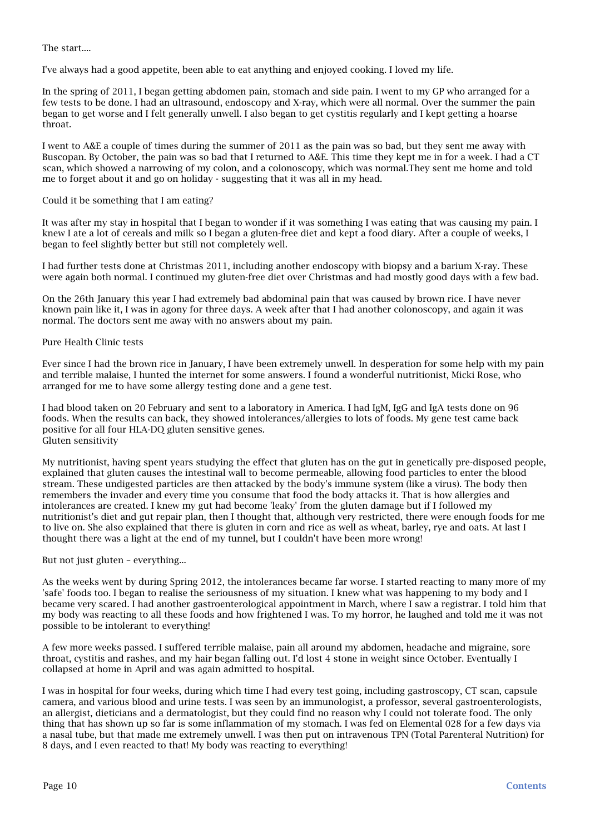The start....

I've always had a good appetite, been able to eat anything and enjoyed cooking. I loved my life.

In the spring of 2011, I began getting abdomen pain, stomach and side pain. I went to my GP who arranged for a few tests to be done. I had an ultrasound, endoscopy and X-ray, which were all normal. Over the summer the pain began to get worse and I felt generally unwell. I also began to get cystitis regularly and I kept getting a hoarse throat.

I went to A&E a couple of times during the summer of 2011 as the pain was so bad, but they sent me away with Buscopan. By October, the pain was so bad that I returned to A&E. This time they kept me in for a week. I had a CT scan, which showed a narrowing of my colon, and a colonoscopy, which was normal.They sent me home and told me to forget about it and go on holiday - suggesting that it was all in my head.

### Could it be something that I am eating?

It was after my stay in hospital that I began to wonder if it was something I was eating that was causing my pain. I knew I ate a lot of cereals and milk so I began a gluten-free diet and kept a food diary. After a couple of weeks, I began to feel slightly better but still not completely well.

I had further tests done at Christmas 2011, including another endoscopy with biopsy and a barium X-ray. These were again both normal. I continued my gluten-free diet over Christmas and had mostly good days with a few bad.

On the 26th January this year I had extremely bad abdominal pain that was caused by brown rice. I have never known pain like it, I was in agony for three days. A week after that I had another colonoscopy, and again it was normal. The doctors sent me away with no answers about my pain.

### Pure Health Clinic tests

Ever since I had the brown rice in January, I have been extremely unwell. In desperation for some help with my pain and terrible malaise, I hunted the internet for some answers. I found a wonderful nutritionist, Micki Rose, who arranged for me to have some allergy testing done and a gene test.

I had blood taken on 20 February and sent to a laboratory in America. I had IgM, IgG and IgA tests done on 96 foods. When the results can back, they showed intolerances/allergies to lots of foods. My gene test came back positive for all four HLA-DQ gluten sensitive genes. Gluten sensitivity

My nutritionist, having spent years studying the effect that gluten has on the gut in genetically pre-disposed people, explained that gluten causes the intestinal wall to become permeable, allowing food particles to enter the blood stream. These undigested particles are then attacked by the body's immune system (like a virus). The body then remembers the invader and every time you consume that food the body attacks it. That is how allergies and intolerances are created. I knew my gut had become 'leaky' from the gluten damage but if I followed my nutritionist's diet and gut repair plan, then I thought that, although very restricted, there were enough foods for me to live on. She also explained that there is gluten in corn and rice as well as wheat, barley, rye and oats. At last I thought there was a light at the end of my tunnel, but I couldn't have been more wrong!

### But not just gluten – everything...

As the weeks went by during Spring 2012, the intolerances became far worse. I started reacting to many more of my 'safe' foods too. I began to realise the seriousness of my situation. I knew what was happening to my body and I became very scared. I had another gastroenterological appointment in March, where I saw a registrar. I told him that my body was reacting to all these foods and how frightened I was. To my horror, he laughed and told me it was not possible to be intolerant to everything!

A few more weeks passed. I suffered terrible malaise, pain all around my abdomen, headache and migraine, sore throat, cystitis and rashes, and my hair began falling out. I'd lost 4 stone in weight since October. Eventually I collapsed at home in April and was again admitted to hospital.

I was in hospital for four weeks, during which time I had every test going, including gastroscopy, CT scan, capsule camera, and various blood and urine tests. I was seen by an immunologist, a professor, several gastroenterologists, an allergist, dieticians and a dermatologist, but they could find no reason why I could not tolerate food. The only thing that has shown up so far is some inflammation of my stomach. I was fed on Elemental 028 for a few days via a nasal tube, but that made me extremely unwell. I was then put on intravenous TPN (Total Parenteral Nutrition) for 8 days, and I even reacted to that! My body was reacting to everything!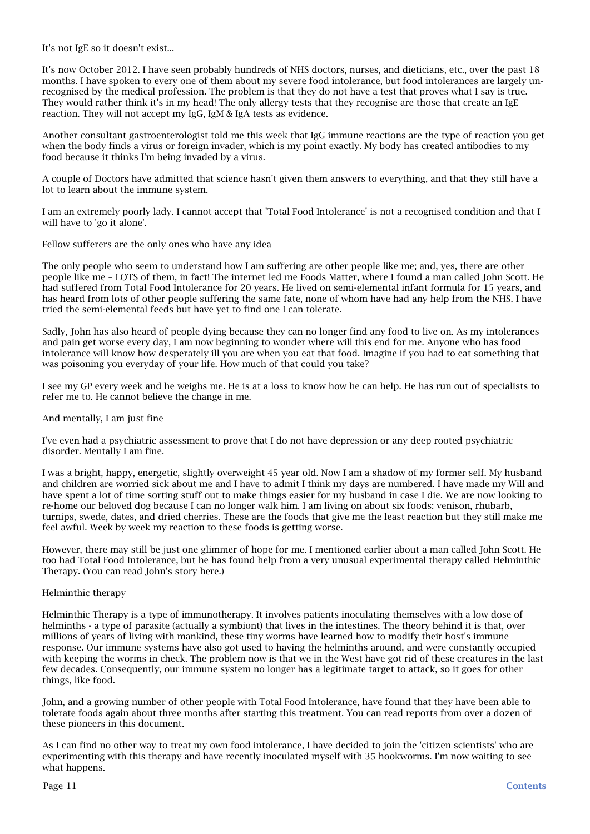It's not IgE so it doesn't exist...

It's now October 2012. I have seen probably hundreds of NHS doctors, nurses, and dieticians, etc., over the past 18 months. I have spoken to every one of them about my severe food intolerance, but food intolerances are largely unrecognised by the medical profession. The problem is that they do not have a test that proves what I say is true. They would rather think it's in my head! The only allergy tests that they recognise are those that create an IgE reaction. They will not accept my IgG, IgM & IgA tests as evidence.

Another consultant gastroenterologist told me this week that IgG immune reactions are the type of reaction you get when the body finds a virus or foreign invader, which is my point exactly. My body has created antibodies to my food because it thinks I'm being invaded by a virus.

A couple of Doctors have admitted that science hasn't given them answers to everything, and that they still have a lot to learn about the immune system.

I am an extremely poorly lady. I cannot accept that 'Total Food Intolerance' is not a recognised condition and that I will have to 'go it alone'.

Fellow sufferers are the only ones who have any idea

The only people who seem to understand how I am suffering are other people like me; and, yes, there are other people like me – LOTS of them, in fact! The internet led me Foods Matter, where I found a man called John Scott. He had suffered from Total Food Intolerance for 20 years. He lived on semi-elemental infant formula for 15 years, and has heard from lots of other people suffering the same fate, none of whom have had any help from the NHS. I have tried the semi-elemental feeds but have yet to find one I can tolerate.

Sadly, John has also heard of people dying because they can no longer find any food to live on. As my intolerances and pain get worse every day, I am now beginning to wonder where will this end for me. Anyone who has food intolerance will know how desperately ill you are when you eat that food. Imagine if you had to eat something that was poisoning you everyday of your life. How much of that could you take?

I see my GP every week and he weighs me. He is at a loss to know how he can help. He has run out of specialists to refer me to. He cannot believe the change in me.

And mentally, I am just fine

I've even had a psychiatric assessment to prove that I do not have depression or any deep rooted psychiatric disorder. Mentally I am fine.

I was a bright, happy, energetic, slightly overweight 45 year old. Now I am a shadow of my former self. My husband and children are worried sick about me and I have to admit I think my days are numbered. I have made my Will and have spent a lot of time sorting stuff out to make things easier for my husband in case I die. We are now looking to re-home our beloved dog because I can no longer walk him. I am living on about six foods: venison, rhubarb, turnips, swede, dates, and dried cherries. These are the foods that give me the least reaction but they still make me feel awful. Week by week my reaction to these foods is getting worse.

However, there may still be just one glimmer of hope for me. I mentioned earlier about a man called John Scott. He too had Total Food Intolerance, but he has found help from a very unusual experimental therapy called Helminthic Therapy. (You can read John's story here.)

### Helminthic therapy

Helminthic Therapy is a type of immunotherapy. It involves patients inoculating themselves with a low dose of helminths - a type of parasite (actually a symbiont) that lives in the intestines. The theory behind it is that, over millions of years of living with mankind, these tiny worms have learned how to modify their host's immune response. Our immune systems have also got used to having the helminths around, and were constantly occupied with keeping the worms in check. The problem now is that we in the West have got rid of these creatures in the last few decades. Consequently, our immune system no longer has a legitimate target to attack, so it goes for other things, like food.

John, and a growing number of other people with Total Food Intolerance, have found that they have been able to tolerate foods again about three months after starting this treatment. You can read reports from over a dozen of these pioneers in this document.

As I can find no other way to treat my own food intolerance, I have decided to join the 'citizen scientists' who are experimenting with this therapy and have recently inoculated myself with 35 hookworms. I'm now waiting to see what happens.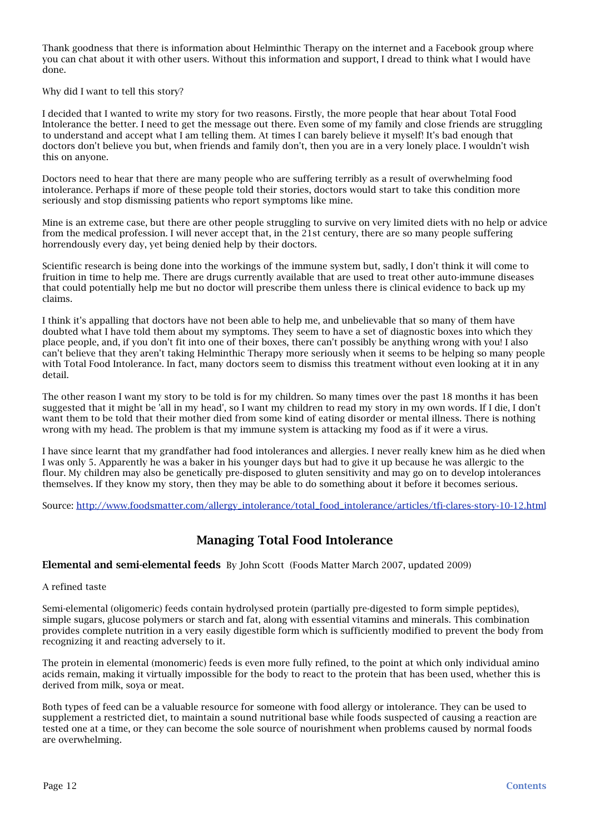Thank goodness that there is information about Helminthic Therapy on the internet and a Facebook group where you can chat about it with other users. Without this information and support, I dread to think what I would have done.

Why did I want to tell this story?

I decided that I wanted to write my story for two reasons. Firstly, the more people that hear about Total Food Intolerance the better. I need to get the message out there. Even some of my family and close friends are struggling to understand and accept what I am telling them. At times I can barely believe it myself! It's bad enough that doctors don't believe you but, when friends and family don't, then you are in a very lonely place. I wouldn't wish this on anyone.

Doctors need to hear that there are many people who are suffering terribly as a result of overwhelming food intolerance. Perhaps if more of these people told their stories, doctors would start to take this condition more seriously and stop dismissing patients who report symptoms like mine.

Mine is an extreme case, but there are other people struggling to survive on very limited diets with no help or advice from the medical profession. I will never accept that, in the 21st century, there are so many people suffering horrendously every day, yet being denied help by their doctors.

Scientific research is being done into the workings of the immune system but, sadly, I don't think it will come to fruition in time to help me. There are drugs currently available that are used to treat other auto-immune diseases that could potentially help me but no doctor will prescribe them unless there is clinical evidence to back up my claims.

I think it's appalling that doctors have not been able to help me, and unbelievable that so many of them have doubted what I have told them about my symptoms. They seem to have a set of diagnostic boxes into which they place people, and, if you don't fit into one of their boxes, there can't possibly be anything wrong with you! I also can't believe that they aren't taking Helminthic Therapy more seriously when it seems to be helping so many people with Total Food Intolerance. In fact, many doctors seem to dismiss this treatment without even looking at it in any detail.

The other reason I want my story to be told is for my children. So many times over the past 18 months it has been suggested that it might be 'all in my head', so I want my children to read my story in my own words. If I die, I don't want them to be told that their mother died from some kind of eating disorder or mental illness. There is nothing wrong with my head. The problem is that my immune system is attacking my food as if it were a virus.

I have since learnt that my grandfather had food intolerances and allergies. I never really knew him as he died when I was only 5. Apparently he was a baker in his younger days but had to give it up because he was allergic to the flour. My children may also be genetically pre-disposed to gluten sensitivity and may go on to develop intolerances themselves. If they know my story, then they may be able to do something about it before it becomes serious.

Source: [http://www.foodsmatter.com/allergy\\_intolerance/total\\_food\\_intolerance/articles/tfi-clares-story-10-12.html](http://www.foodsmatter.com/allergy_intolerance/total_food_intolerance/articles/tfi-clares-story-10-12.html)

## <span id="page-11-0"></span>Managing Total Food Intolerance

<span id="page-11-1"></span>Elemental and semi-elemental feedsBy John Scott(Foods Matter March 2007, updated 2009)

A refined taste

Semi-elemental (oligomeric) feeds contain hydrolysed protein (partially pre-digested to form simple peptides), simple sugars, glucose polymers or starch and fat, along with essential vitamins and minerals. This combination provides complete nutrition in a very easily digestible form which is sufficiently modified to prevent the body from recognizing it and reacting adversely to it.

The protein in elemental (monomeric) feeds is even more fully refined, to the point at which only individual amino acids remain, making it virtually impossible for the body to react to the protein that has been used, whether this is derived from milk, soya or meat.

Both types of feed can be a valuable resource for someone with food allergy or intolerance. They can be used to supplement a restricted diet, to maintain a sound nutritional base while foods suspected of causing a reaction are tested one at a time, or they can become the sole source of nourishment when problems caused by normal foods are overwhelming.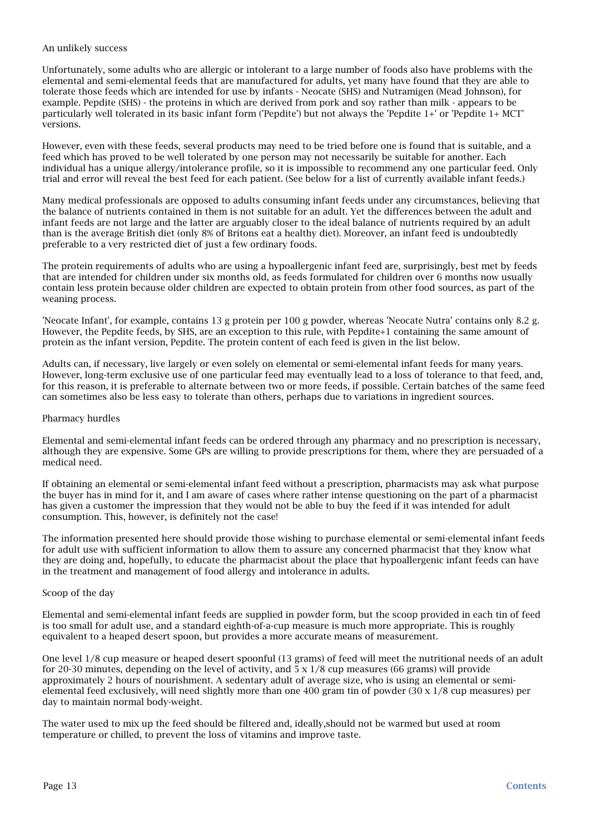### An unlikely success

Unfortunately, some adults who are allergic or intolerant to a large number of foods also have problems with the elemental and semi-elemental feeds that are manufactured for adults, yet many have found that they are able to tolerate those feeds which are intended for use by infants - Neocate (SHS) and Nutramigen (Mead Johnson), for example. Pepdite (SHS) - the proteins in which are derived from pork and soy rather than milk - appears to be particularly well tolerated in its basic infant form ('Pepdite') but not always the 'Pepdite 1+' or 'Pepdite 1+ MCT' versions.

However, even with these feeds, several products may need to be tried before one is found that is suitable, and a feed which has proved to be well tolerated by one person may not necessarily be suitable for another. Each individual has a unique allergy/intolerance profile, so it is impossible to recommend any one particular feed. Only trial and error will reveal the best feed for each patient. (See below for a list of currently available infant feeds.)

Many medical professionals are opposed to adults consuming infant feeds under any circumstances, believing that the balance of nutrients contained in them is not suitable for an adult. Yet the differences between the adult and infant feeds are not large and the latter are arguably closer to the ideal balance of nutrients required by an adult than is the average British diet (only 8% of Britons eat a healthy diet). Moreover, an infant feed is undoubtedly preferable to a very restricted diet of just a few ordinary foods.

The protein requirements of adults who are using a hypoallergenic infant feed are, surprisingly, best met by feeds that are intended for children under six months old, as feeds formulated for children over 6 months now usually contain less protein because older children are expected to obtain protein from other food sources, as part of the weaning process.

'Neocate Infant', for example, contains 13 g protein per 100 g powder, whereas 'Neocate Nutra' contains only 8.2 g. However, the Pepdite feeds, by SHS, are an exception to this rule, with Pepdite+1 containing the same amount of protein as the infant version, Pepdite. The protein content of each feed is given in the list below.

Adults can, if necessary, live largely or even solely on elemental or semi-elemental infant feeds for many years. However, long-term exclusive use of one particular feed may eventually lead to a loss of tolerance to that feed, and, for this reason, it is preferable to alternate between two or more feeds, if possible. Certain batches of the same feed can sometimes also be less easy to tolerate than others, perhaps due to variations in ingredient sources.

### Pharmacy hurdles

Elemental and semi-elemental infant feeds can be ordered through any pharmacy and no prescription is necessary, although they are expensive. Some GPs are willing to provide prescriptions for them, where they are persuaded of a medical need.

If obtaining an elemental or semi-elemental infant feed without a prescription, pharmacists may ask what purpose the buyer has in mind for it, and I am aware of cases where rather intense questioning on the part of a pharmacist has given a customer the impression that they would not be able to buy the feed if it was intended for adult consumption. This, however, is definitely not the case!

The information presented here should provide those wishing to purchase elemental or semi-elemental infant feeds for adult use with sufficient information to allow them to assure any concerned pharmacist that they know what they are doing and, hopefully, to educate the pharmacist about the place that hypoallergenic infant feeds can have in the treatment and management of food allergy and intolerance in adults.

### Scoop of the day

Elemental and semi-elemental infant feeds are supplied in powder form, but the scoop provided in each tin of feed is too small for adult use, and a standard eighth-of-a-cup measure is much more appropriate. This is roughly equivalent to a heaped desert spoon, but provides a more accurate means of measurement.

One level 1/8 cup measure or heaped desert spoonful (13 grams) of feed will meet the nutritional needs of an adult for 20-30 minutes, depending on the level of activity, and  $\frac{1}{5} \times 1/8$  cup measures (66 grams) will provide approximately 2 hours of nourishment. A sedentary adult of average size, who is using an elemental or semielemental feed exclusively, will need slightly more than one 400 gram tin of powder  $(30 \times 1/8)$  cup measures) per day to maintain normal body-weight.

The water used to mix up the feed should be filtered and, ideally,should not be warmed but used at room temperature or chilled, to prevent the loss of vitamins and improve taste.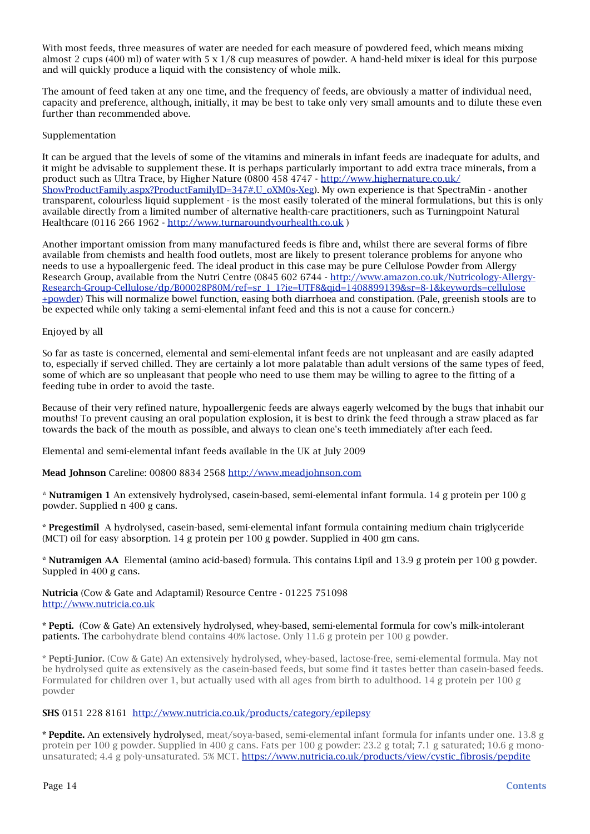With most feeds, three measures of water are needed for each measure of powdered feed, which means mixing almost 2 cups (400 ml) of water with  $5 \times 1/8$  cup measures of powder. A hand-held mixer is ideal for this purpose and will quickly produce a liquid with the consistency of whole milk.

The amount of feed taken at any one time, and the frequency of feeds, are obviously a matter of individual need, capacity and preference, although, initially, it may be best to take only very small amounts and to dilute these even further than recommended above.

### Supplementation

It can be argued that the levels of some of the vitamins and minerals in infant feeds are inadequate for adults, and it might be advisable to supplement these. It is perhaps particularly important to add extra trace minerals, from a product such as Ultra Trace, by Higher Nature (0800 458 4747 - [http://www.highernature.co.uk/](http://www.highernature.co.uk/ShowProductFamily.aspx?ProductFamilyID=347#.U_oXM0s-Xeg) [ShowProductFamily.aspx?ProductFamilyID=347#.U\\_oXM0s-Xeg](http://www.highernature.co.uk/ShowProductFamily.aspx?ProductFamilyID=347#.U_oXM0s-Xeg)). My own experience is that SpectraMin - another transparent, colourless liquid supplement - is the most easily tolerated of the mineral formulations, but this is only available directly from a limited number of alternative health-care practitioners, such as Turningpoint Natural Healthcare (0116 266 1962 -<http://www.turnaroundyourhealth.co.uk>)

Another important omission from many manufactured feeds is fibre and, whilst there are several forms of fibre available from chemists and health food outlets, most are likely to present tolerance problems for anyone who needs to use a hypoallergenic feed. The ideal product in this case may be pure Cellulose Powder from Allergy Research Group, available from the Nutri Centre (0845 602 6744 - http://www.amazon.co.uk/Nutricology-Allergy-Research-Group-Cellulose/dp/B00028P80M/ref=sr\_1\_1?ie=UTF8&qid=1408899139&sr=8-1&keywords=cellulose +powder) This will normalize bowel function, easing both diarrhoea and constipation. (Pale, greenish stools are to be expected while only taking a semi-elemental infant feed and this is not a cause for concern.)

### Enjoyed by all

So far as taste is concerned, elemental and semi-elemental infant feeds are not unpleasant and are easily adapted to, especially if served chilled. They are certainly a lot more palatable than adult versions of the same types of feed, some of which are so unpleasant that people who need to use them may be willing to agree to the fitting of a feeding tube in order to avoid the taste.

Because of their very refined nature, hypoallergenic feeds are always eagerly welcomed by the bugs that inhabit our mouths! To prevent causing an oral population explosion, it is best to drink the feed through a straw placed as far towards the back of the mouth as possible, and always to clean one's teeth immediately after each feed.

Elemental and semi-elemental infant feeds available in the UK at July 2009

Mead Johnson Careline: 00800 8834 2568 [http://www.meadjohnson.com](http://www.enfamil.co.uk)

\* Nutramigen 1 An extensively hydrolysed, casein-based, semi-elemental infant formula. 14 g protein per 100 g powder. Supplied n 400 g cans.

\* Pregestimil A hydrolysed, casein-based, semi-elemental infant formula containing medium chain triglyceride (MCT) oil for easy absorption. 14 g protein per 100 g powder. Supplied in 400 gm cans.

\* Nutramigen AA Elemental (amino acid-based) formula. This contains Lipil and 13.9 g protein per 100 g powder. Suppled in 400 g cans.

Nutricia (Cow & Gate and Adaptamil) Resource Centre - 01225 751098 <http://www.nutricia.co.uk>

\* Pepti. (Cow & Gate) An extensively hydrolysed, whey-based, semi-elemental formula for cow's milk-intolerant patients. The carbohydrate blend contains 40% lactose. Only 11.6 g protein per 100 g powder.

\* Pepti-Junior. (Cow & Gate) An extensively hydrolysed, whey-based, lactose-free, semi-elemental formula. May not be hydrolysed quite as extensively as the casein-based feeds, but some find it tastes better than casein-based feeds. Formulated for children over 1, but actually used with all ages from birth to adulthood. 14 g protein per 100 g powder

### SHS 0151 228 8161 <http://www.nutricia.co.uk/products/category/epilepsy>

\* Pepdite. An extensively hydrolysed, meat/soya-based, semi-elemental infant formula for infants under one. 13.8 g protein per 100 g powder. Supplied in 400 g cans. Fats per 100 g powder: 23.2 g total; 7.1 g saturated; 10.6 g monounsaturated; 4.4 g poly-unsaturated. 5% MCT. [https://www.nutricia.co.uk/products/view/cystic\\_fibrosis/pepdite](https://www.nutricia.co.uk/products/view/cystic_fibrosis/pepdite)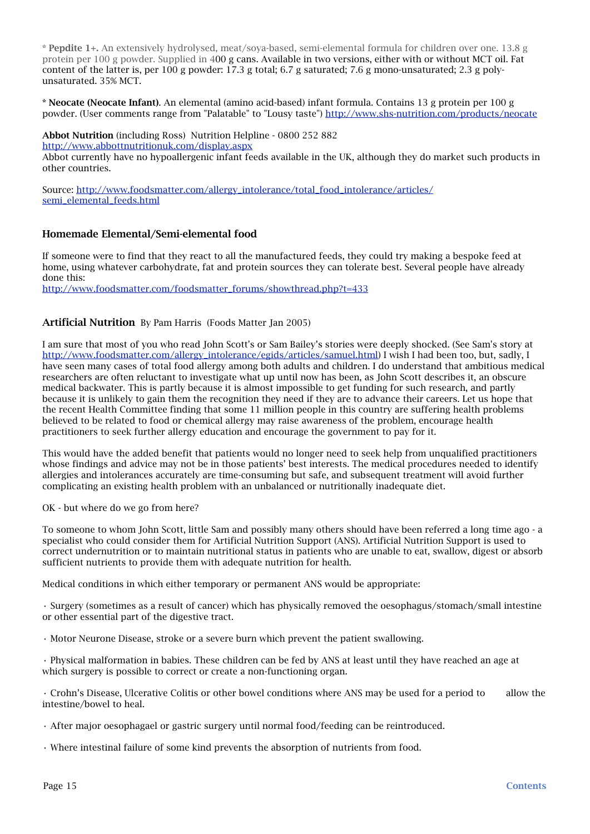\* Pepdite 1+. An extensively hydrolysed, meat/soya-based, semi-elemental formula for children over one. 13.8 g protein per 100 g powder. Supplied in 400 g cans. Available in two versions, either with or without MCT oil. Fat content of the latter is, per 100 g powder: 17.3 g total; 6.7 g saturated; 7.6 g mono-unsaturated; 2.3 g polyunsaturated. 35% MCT.

\* Neocate (Neocate Infant). An elemental (amino acid-based) infant formula. Contains 13 g protein per 100 g powder. (User comments range from "Palatable" to "Lousy taste") <http://www.shs-nutrition.com/products/neocate>

Abbot Nutrition (including Ross) Nutrition Helpline - 0800 252 882 <http://www.abbottnutritionuk.com/display.aspx>

Abbot currently have no hypoallergenic infant feeds available in the UK, although they do market such products in other countries.

Source: [http://www.foodsmatter.com/allergy\\_intolerance/total\\_food\\_intolerance/articles/](http://www.foodsmatter.com/allergy_intolerance/total_food_intolerance/articles/semi_elemental_feeds.html) [semi\\_elemental\\_feeds.html](http://www.foodsmatter.com/allergy_intolerance/total_food_intolerance/articles/semi_elemental_feeds.html)

### <span id="page-14-0"></span>Homemade Elemental/Semi-elemental food

If someone were to find that they react to all the manufactured feeds, they could try making a bespoke feed at home, using whatever carbohydrate, fat and protein sources they can tolerate best. Several people have already done this:

[http://www.foodsmatter.com/foodsmatter\\_forums/showthread.php?t=433](http://www.foodsmatter.com/foodsmatter_forums/showthread.php?t=433)

### <span id="page-14-1"></span>Artificial Nutrition By Pam Harris (Foods Matter Jan 2005)

I am sure that most of you who read John Scott's or Sam Bailey's stories were deeply shocked. (See Sam's story at [http://www.foodsmatter.com/allergy\\_intolerance/egids/articles/samuel.html\)](http://www.foodsmatter.com/allergy_intolerance/egids/articles/samuel.html) I wish I had been too, but, sadly, I have seen many cases of total food allergy among both adults and children. I do understand that ambitious medical researchers are often reluctant to investigate what up until now has been, as John Scott describes it, an obscure medical backwater. This is partly because it is almost impossible to get funding for such research, and partly because it is unlikely to gain them the recognition they need if they are to advance their careers. Let us hope that the recent Health Committee finding that some 11 million people in this country are suffering health problems believed to be related to food or chemical allergy may raise awareness of the problem, encourage health practitioners to seek further allergy education and encourage the government to pay for it.

This would have the added benefit that patients would no longer need to seek help from unqualified practitioners whose findings and advice may not be in those patients' best interests. The medical procedures needed to identify allergies and intolerances accurately are time-consuming but safe, and subsequent treatment will avoid further complicating an existing health problem with an unbalanced or nutritionally inadequate diet.

OK - but where do we go from here?

To someone to whom John Scott, little Sam and possibly many others should have been referred a long time ago - a specialist who could consider them for Artificial Nutrition Support (ANS). Artificial Nutrition Support is used to correct undernutrition or to maintain nutritional status in patients who are unable to eat, swallow, digest or absorb sufficient nutrients to provide them with adequate nutrition for health.

Medical conditions in which either temporary or permanent ANS would be appropriate:

• Surgery (sometimes as a result of cancer) which has physically removed the oesophagus/stomach/small intestine or other essential part of the digestive tract.

• Motor Neurone Disease, stroke or a severe burn which prevent the patient swallowing.

• Physical malformation in babies. These children can be fed by ANS at least until they have reached an age at which surgery is possible to correct or create a non-functioning organ.

• Crohn's Disease, Ulcerative Colitis or other bowel conditions where ANS may be used for a period to allow the intestine/bowel to heal.

- After major oesophagael or gastric surgery until normal food/feeding can be reintroduced.
- Where intestinal failure of some kind prevents the absorption of nutrients from food.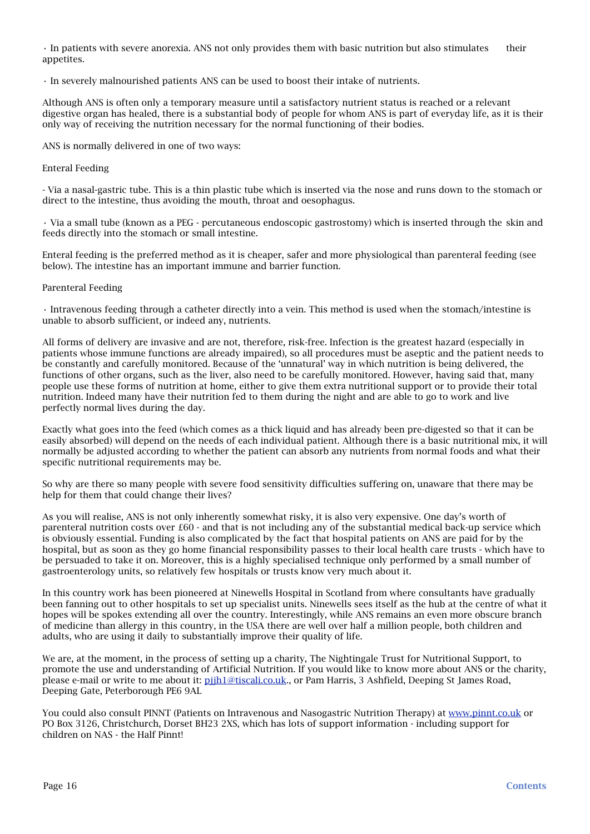• In patients with severe anorexia. ANS not only provides them with basic nutrition but also stimulates their appetites.

• In severely malnourished patients ANS can be used to boost their intake of nutrients.

Although ANS is often only a temporary measure until a satisfactory nutrient status is reached or a relevant digestive organ has healed, there is a substantial body of people for whom ANS is part of everyday life, as it is their only way of receiving the nutrition necessary for the normal functioning of their bodies.

ANS is normally delivered in one of two ways:

#### Enteral Feeding

- Via a nasal-gastric tube. This is a thin plastic tube which is inserted via the nose and runs down to the stomach or direct to the intestine, thus avoiding the mouth, throat and oesophagus.

• Via a small tube (known as a PEG - percutaneous endoscopic gastrostomy) which is inserted through the skin and feeds directly into the stomach or small intestine.

Enteral feeding is the preferred method as it is cheaper, safer and more physiological than parenteral feeding (see below). The intestine has an important immune and barrier function.

### Parenteral Feeding

• Intravenous feeding through a catheter directly into a vein. This method is used when the stomach/intestine is unable to absorb sufficient, or indeed any, nutrients.

All forms of delivery are invasive and are not, therefore, risk-free. Infection is the greatest hazard (especially in patients whose immune functions are already impaired), so all procedures must be aseptic and the patient needs to be constantly and carefully monitored. Because of the 'unnatural' way in which nutrition is being delivered, the functions of other organs, such as the liver, also need to be carefully monitored. However, having said that, many people use these forms of nutrition at home, either to give them extra nutritional support or to provide their total nutrition. Indeed many have their nutrition fed to them during the night and are able to go to work and live perfectly normal lives during the day.

Exactly what goes into the feed (which comes as a thick liquid and has already been pre-digested so that it can be easily absorbed) will depend on the needs of each individual patient. Although there is a basic nutritional mix, it will normally be adjusted according to whether the patient can absorb any nutrients from normal foods and what their specific nutritional requirements may be.

So why are there so many people with severe food sensitivity difficulties suffering on, unaware that there may be help for them that could change their lives?

As you will realise, ANS is not only inherently somewhat risky, it is also very expensive. One day's worth of parenteral nutrition costs over £60 - and that is not including any of the substantial medical back-up service which is obviously essential. Funding is also complicated by the fact that hospital patients on ANS are paid for by the hospital, but as soon as they go home financial responsibility passes to their local health care trusts - which have to be persuaded to take it on. Moreover, this is a highly specialised technique only performed by a small number of gastroenterology units, so relatively few hospitals or trusts know very much about it.

In this country work has been pioneered at Ninewells Hospital in Scotland from where consultants have gradually been fanning out to other hospitals to set up specialist units. Ninewells sees itself as the hub at the centre of what it hopes will be spokes extending all over the country. Interestingly, while ANS remains an even more obscure branch of medicine than allergy in this country, in the USA there are well over half a million people, both children and adults, who are using it daily to substantially improve their quality of life.

We are, at the moment, in the process of setting up a charity, The Nightingale Trust for Nutritional Support, to promote the use and understanding of Artificial Nutrition. If you would like to know more about ANS or the charity, please e-mail or write to me about it: [pjjh1@tiscali.co.uk](mailto:pjjh1@tiscali.co.uk)., or Pam Harris, 3 Ashfield, Deeping St James Road, Deeping Gate, Peterborough PE6 9AL

You could also consult PINNT (Patients on Intravenous and Nasogastric Nutrition Therapy) at [www.pinnt.co.uk](http://www.pinnt.co.uk) or PO Box 3126, Christchurch, Dorset BH23 2XS, which has lots of support information - including support for children on NAS - the Half Pinnt!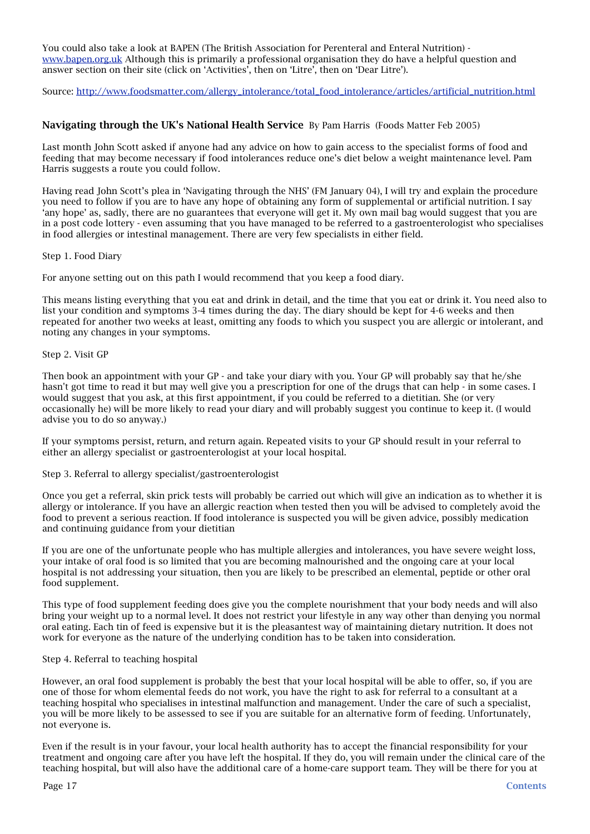You could also take a look at BAPEN (The British Association for Perenteral and Enteral Nutrition) [www.bapen.org.uk](http://www.bapen.org.uk) Although this is primarily a professional organisation they do have a helpful question and answer section on their site (click on 'Activities', then on 'Litre', then on 'Dear Litre').

Source: [http://www.foodsmatter.com/allergy\\_intolerance/total\\_food\\_intolerance/articles/artificial\\_nutrition.html](http://www.foodsmatter.com/allergy_intolerance/total_food_intolerance/articles/artificial_nutrition.html)

### <span id="page-16-0"></span>Navigating through the UK's National Health Service By Pam Harris (Foods Matter Feb 2005)

Last month John Scott asked if anyone had any advice on how to gain access to the specialist forms of food and feeding that may become necessary if food intolerances reduce one's diet below a weight maintenance level. Pam Harris suggests a route you could follow.

Having read John Scott's plea in 'Navigating through the NHS' (FM January 04), I will try and explain the procedure you need to follow if you are to have any hope of obtaining any form of supplemental or artificial nutrition. I say 'any hope' as, sadly, there are no guarantees that everyone will get it. My own mail bag would suggest that you are in a post code lottery - even assuming that you have managed to be referred to a gastroenterologist who specialises in food allergies or intestinal management. There are very few specialists in either field.

### Step 1. Food Diary

For anyone setting out on this path I would recommend that you keep a food diary.

This means listing everything that you eat and drink in detail, and the time that you eat or drink it. You need also to list your condition and symptoms 3-4 times during the day. The diary should be kept for 4-6 weeks and then repeated for another two weeks at least, omitting any foods to which you suspect you are allergic or intolerant, and noting any changes in your symptoms.

### Step 2. Visit GP

Then book an appointment with your GP - and take your diary with you. Your GP will probably say that he/she hasn't got time to read it but may well give you a prescription for one of the drugs that can help - in some cases. I would suggest that you ask, at this first appointment, if you could be referred to a dietitian. She (or very occasionally he) will be more likely to read your diary and will probably suggest you continue to keep it. (I would advise you to do so anyway.)

If your symptoms persist, return, and return again. Repeated visits to your GP should result in your referral to either an allergy specialist or gastroenterologist at your local hospital.

Step 3. Referral to allergy specialist/gastroenterologist

Once you get a referral, skin prick tests will probably be carried out which will give an indication as to whether it is allergy or intolerance. If you have an allergic reaction when tested then you will be advised to completely avoid the food to prevent a serious reaction. If food intolerance is suspected you will be given advice, possibly medication and continuing guidance from your dietitian

If you are one of the unfortunate people who has multiple allergies and intolerances, you have severe weight loss, your intake of oral food is so limited that you are becoming malnourished and the ongoing care at your local hospital is not addressing your situation, then you are likely to be prescribed an elemental, peptide or other oral food supplement.

This type of food supplement feeding does give you the complete nourishment that your body needs and will also bring your weight up to a normal level. It does not restrict your lifestyle in any way other than denying you normal oral eating. Each tin of feed is expensive but it is the pleasantest way of maintaining dietary nutrition. It does not work for everyone as the nature of the underlying condition has to be taken into consideration.

### Step 4. Referral to teaching hospital

However, an oral food supplement is probably the best that your local hospital will be able to offer, so, if you are one of those for whom elemental feeds do not work, you have the right to ask for referral to a consultant at a teaching hospital who specialises in intestinal malfunction and management. Under the care of such a specialist, you will be more likely to be assessed to see if you are suitable for an alternative form of feeding. Unfortunately, not everyone is.

Even if the result is in your favour, your local health authority has to accept the financial responsibility for your treatment and ongoing care after you have left the hospital. If they do, you will remain under the clinical care of the teaching hospital, but will also have the additional care of a home-care support team. They will be there for you at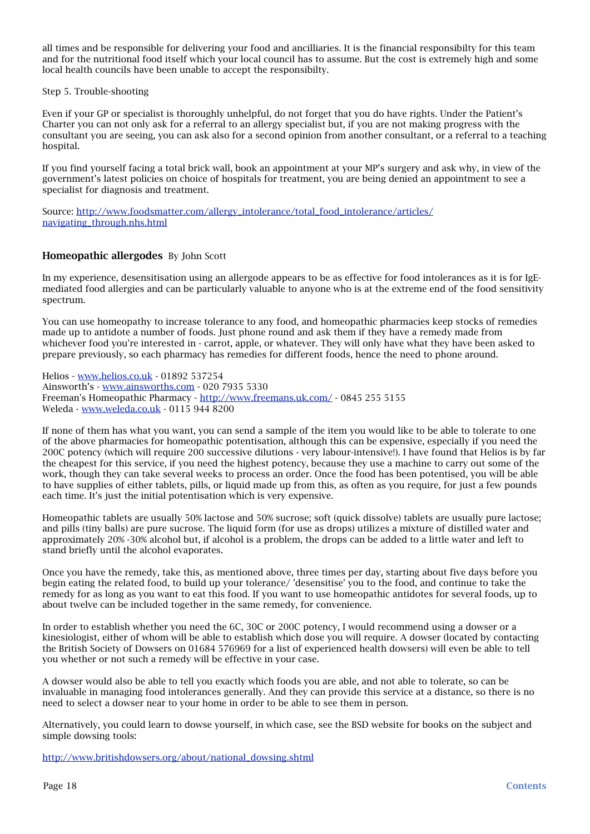all times and be responsible for delivering your food and ancilliaries. It is the financial responsibilty for this team and for the nutritional food itself which your local council has to assume. But the cost is extremely high and some local health councils have been unable to accept the responsibilty.

### Step 5. Trouble-shooting

Even if your GP or specialist is thoroughly unhelpful, do not forget that you do have rights. Under the Patient's Charter you can not only ask for a referral to an allergy specialist but, if you are not making progress with the consultant you are seeing, you can ask also for a second opinion from another consultant, or a referral to a teaching hospital.

If you find yourself facing a total brick wall, book an appointment at your MP's surgery and ask why, in view of the government's latest policies on choice of hospitals for treatment, you are being denied an appointment to see a specialist for diagnosis and treatment.

Source: [http://www.foodsmatter.com/allergy\\_intolerance/total\\_food\\_intolerance/articles/](http://www.foodsmatter.com/allergy_intolerance/total_food_intolerance/articles/navigating_through.nhs.html) [navigating\\_through.nhs.html](http://www.foodsmatter.com/allergy_intolerance/total_food_intolerance/articles/navigating_through.nhs.html)

### <span id="page-17-0"></span>Homeopathic allergodesBy John Scott

In my experience, desensitisation using an allergode appears to be as effective for food intolerances as it is for IgEmediated food allergies and can be particularly valuable to anyone who is at the extreme end of the food sensitivity spectrum.

You can use homeopathy to increase tolerance to any food, and homeopathic pharmacies keep stocks of remedies made up to antidote a number of foods. Just phone round and ask them if they have a remedy made from whichever food you're interested in - carrot, apple, or whatever. They will only have what they have been asked to prepare previously, so each pharmacy has remedies for different foods, hence the need to phone around.

Helios - [www.helios.co.uk](http://www.helios.co.uk) - 01892 537254 Ainsworth's - [www.ainsworths.com](http://www.ainsworths.com) - 020 7935 5330 Freeman's Homeopathic Pharmacy - <http://www.freemans.uk.com/> - 0845 255 5155 Weleda - [www.weleda.co.uk](http://www.weleda.co.uk) - 0115 944 8200

If none of them has what you want, you can send a sample of the item you would like to be able to tolerate to one of the above pharmacies for homeopathic potentisation, although this can be expensive, especially if you need the 200C potency (which will require 200 successive dilutions - very labour-intensive!). I have found that Helios is by far the cheapest for this service, if you need the highest potency, because they use a machine to carry out some of the work, though they can take several weeks to process an order. Once the food has been potentised, you will be able to have supplies of either tablets, pills, or liquid made up from this, as often as you require, for just a few pounds each time. It's just the initial potentisation which is very expensive.

Homeopathic tablets are usually 50% lactose and 50% sucrose; soft (quick dissolve) tablets are usually pure lactose; and pills (tiny balls) are pure sucrose. The liquid form (for use as drops) utilizes a mixture of distilled water and approximately 20% -30% alcohol but, if alcohol is a problem, the drops can be added to a little water and left to stand briefly until the alcohol evaporates.

Once you have the remedy, take this, as mentioned above, three times per day, starting about five days before you begin eating the related food, to build up your tolerance/ 'desensitise' you to the food, and continue to take the remedy for as long as you want to eat this food. If you want to use homeopathic antidotes for several foods, up to about twelve can be included together in the same remedy, for convenience.

In order to establish whether you need the 6C, 30C or 200C potency, I would recommend using a dowser or a kinesiologist, either of whom will be able to establish which dose you will require. A dowser (located by contacting the British Society of Dowsers on 01684 576969 for a list of experienced health dowsers) will even be able to tell you whether or not such a remedy will be effective in your case.

A dowser would also be able to tell you exactly which foods you are able, and not able to tolerate, so can be invaluable in managing food intolerances generally. And they can provide this service at a distance, so there is no need to select a dowser near to your home in order to be able to see them in person.

Alternatively, you could learn to dowse yourself, in which case, see the BSD website for books on the subject and simple dowsing tools:

[http://www.britishdowsers.org/about/national\\_dowsing.shtml](http://www.britishdowsers.org/about/national_dowsing.shtml)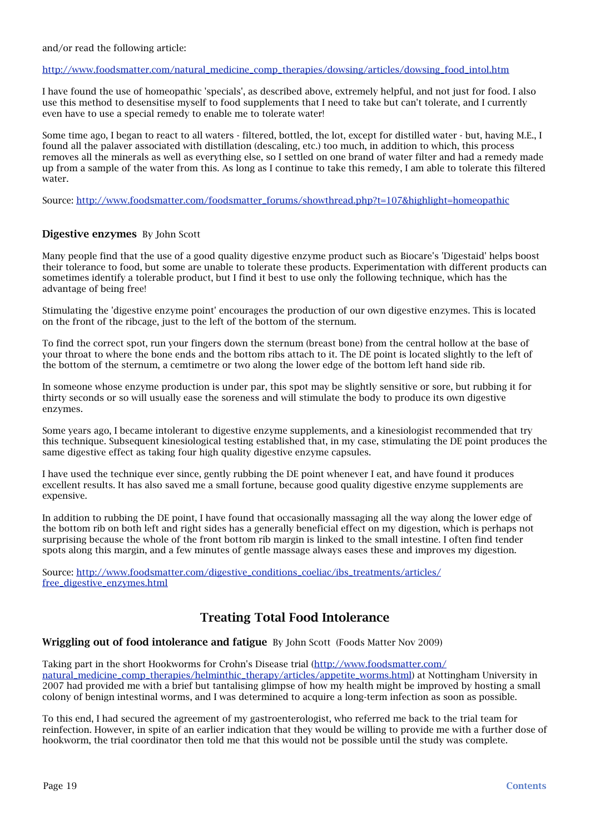#### and/or read the following article:

### [http://www.foodsmatter.com/natural\\_medicine\\_comp\\_therapies/dowsing/articles/dowsing\\_food\\_intol.htm](http://www.foodsmatter.com/natural_medicine_comp_therapies/dowsing/articles/dowsing_food_intol.htm)

I have found the use of homeopathic 'specials', as described above, extremely helpful, and not just for food. I also use this method to desensitise myself to food supplements that I need to take but can't tolerate, and I currently even have to use a special remedy to enable me to tolerate water!

Some time ago, I began to react to all waters - filtered, bottled, the lot, except for distilled water - but, having M.E., I found all the palaver associated with distillation (descaling, etc.) too much, in addition to which, this process removes all the minerals as well as everything else, so I settled on one brand of water filter and had a remedy made up from a sample of the water from this. As long as I continue to take this remedy, I am able to tolerate this filtered water.

Source: [http://www.foodsmatter.com/foodsmatter\\_forums/showthread.php?t=107&highlight=homeopathic](http://www.foodsmatter.com/foodsmatter_forums/showthread.php?t=107&highlight=homeopathic)

### <span id="page-18-0"></span>Digestive enzymesBy John Scott

Many people find that the use of a good quality digestive enzyme product such as Biocare's 'Digestaid' helps boost their tolerance to food, but some are unable to tolerate these products. Experimentation with different products can sometimes identify a tolerable product, but I find it best to use only the following technique, which has the advantage of being free!

Stimulating the 'digestive enzyme point' encourages the production of our own digestive enzymes. This is located on the front of the ribcage, just to the left of the bottom of the sternum.

To find the correct spot, run your fingers down the sternum (breast bone) from the central hollow at the base of your throat to where the bone ends and the bottom ribs attach to it. The DE point is located slightly to the left of the bottom of the sternum, a cemtimetre or two along the lower edge of the bottom left hand side rib.

In someone whose enzyme production is under par, this spot may be slightly sensitive or sore, but rubbing it for thirty seconds or so will usually ease the soreness and will stimulate the body to produce its own digestive enzymes.

Some years ago, I became intolerant to digestive enzyme supplements, and a kinesiologist recommended that try this technique. Subsequent kinesiological testing established that, in my case, stimulating the DE point produces the same digestive effect as taking four high quality digestive enzyme capsules.

I have used the technique ever since, gently rubbing the DE point whenever I eat, and have found it produces excellent results. It has also saved me a small fortune, because good quality digestive enzyme supplements are expensive.

In addition to rubbing the DE point, I have found that occasionally massaging all the way along the lower edge of the bottom rib on both left and right sides has a generally beneficial effect on my digestion, which is perhaps not surprising because the whole of the front bottom rib margin is linked to the small intestine. I often find tender spots along this margin, and a few minutes of gentle massage always eases these and improves my digestion.

Source: [http://www.foodsmatter.com/digestive\\_conditions\\_coeliac/ibs\\_treatments/articles/](http://www.foodsmatter.com/digestive_conditions_coeliac/ibs_treatments/articles/free_digestive_enzymes.html) [free\\_digestive\\_enzymes.html](http://www.foodsmatter.com/digestive_conditions_coeliac/ibs_treatments/articles/free_digestive_enzymes.html)

### <span id="page-18-1"></span>Treating Total Food Intolerance

<span id="page-18-2"></span>Wriggling out of food intolerance and fatigue By John Scott (Foods Matter Nov 2009)

Taking part in the short Hookworms for Crohn's Disease trial [\(http://www.foodsmatter.com/](http://www.foodsmatter.com/natural_medicine_comp_therapies/helminthic_therapy/articles/appetite_worms.html) [natural\\_medicine\\_comp\\_therapies/helminthic\\_therapy/articles/appetite\\_worms.html\)](http://www.foodsmatter.com/natural_medicine_comp_therapies/helminthic_therapy/articles/appetite_worms.html) at Nottingham University in 2007 had provided me with a brief but tantalising glimpse of how my health might be improved by hosting a small colony of benign intestinal worms, and I was determined to acquire a long-term infection as soon as possible.

To this end, I had secured the agreement of my gastroenterologist, who referred me back to the trial team for reinfection. However, in spite of an earlier indication that they would be willing to provide me with a further dose of hookworm, the trial coordinator then told me that this would not be possible until the study was complete.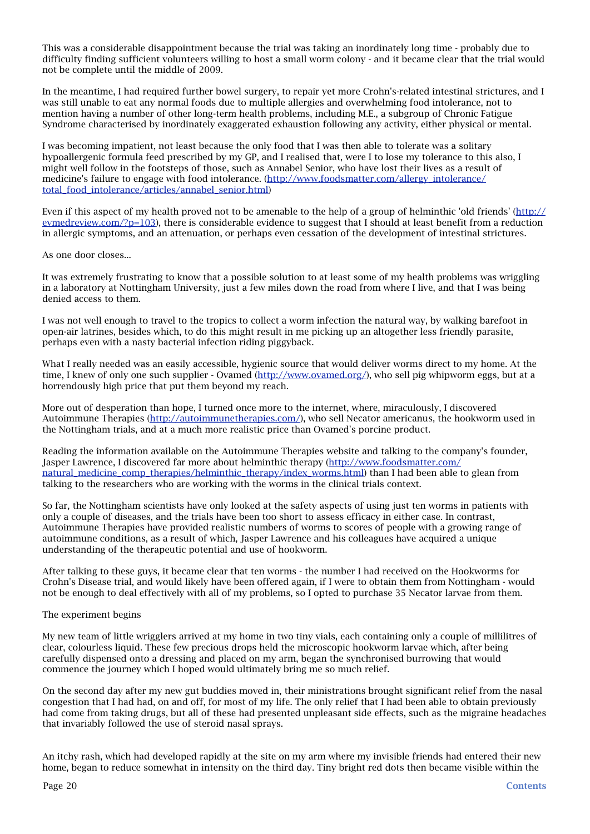This was a considerable disappointment because the trial was taking an inordinately long time - probably due to difficulty finding sufficient volunteers willing to host a small worm colony - and it became clear that the trial would not be complete until the middle of 2009.

In the meantime, I had required further bowel surgery, to repair yet more Crohn's-related intestinal strictures, and I was still unable to eat any normal foods due to multiple allergies and overwhelming food intolerance, not to mention having a number of other long-term health problems, including M.E., a subgroup of Chronic Fatigue Syndrome characterised by inordinately exaggerated exhaustion following any activity, either physical or mental.

I was becoming impatient, not least because the only food that I was then able to tolerate was a solitary hypoallergenic formula feed prescribed by my GP, and I realised that, were I to lose my tolerance to this also, I might well follow in the footsteps of those, such as Annabel Senior, who have lost their lives as a result of medicine's failure to engage with food intolerance. ([http://www.foodsmatter.com/allergy\\_intolerance/](http://www.foodsmatter.com/allergy_intolerance/total_food_intolerance/articles/annabel_senior.html) [total\\_food\\_intolerance/articles/annabel\\_senior.html\)](http://www.foodsmatter.com/allergy_intolerance/total_food_intolerance/articles/annabel_senior.html)

Even if this aspect of my health proved not to be amenable to the help of a group of helminthic 'old friends' ([http://](http://evmedreview.com/?p=103) [evmedreview.com/?p=103](http://evmedreview.com/?p=103)), there is considerable evidence to suggest that I should at least benefit from a reduction in allergic symptoms, and an attenuation, or perhaps even cessation of the development of intestinal strictures.

As one door closes...

It was extremely frustrating to know that a possible solution to at least some of my health problems was wriggling in a laboratory at Nottingham University, just a few miles down the road from where I live, and that I was being denied access to them.

I was not well enough to travel to the tropics to collect a worm infection the natural way, by walking barefoot in open-air latrines, besides which, to do this might result in me picking up an altogether less friendly parasite, perhaps even with a nasty bacterial infection riding piggyback.

What I really needed was an easily accessible, hygienic source that would deliver worms direct to my home. At the time, I knew of only one such supplier - Ovamed ([http://www.ovamed.org/\)](http://www.ovamed.org/), who sell pig whipworm eggs, but at a horrendously high price that put them beyond my reach.

More out of desperation than hope, I turned once more to the internet, where, miraculously, I discovered Autoimmune Therapies [\(http://autoimmunetherapies.com/](http://autoimmunetherapies.com/)), who sell Necator americanus, the hookworm used in the Nottingham trials, and at a much more realistic price than Ovamed's porcine product.

Reading the information available on the Autoimmune Therapies website and talking to the company's founder, Jasper Lawrence, I discovered far more about helminthic therapy ([http://www.foodsmatter.com/](http://www.foodsmatter.com/natural_medicine_comp_therapies/helminthic_therapy/index_worms.html) [natural\\_medicine\\_comp\\_therapies/helminthic\\_therapy/index\\_worms.html](http://www.foodsmatter.com/natural_medicine_comp_therapies/helminthic_therapy/index_worms.html)) than I had been able to glean from talking to the researchers who are working with the worms in the clinical trials context.

So far, the Nottingham scientists have only looked at the safety aspects of using just ten worms in patients with only a couple of diseases, and the trials have been too short to assess efficacy in either case. In contrast, Autoimmune Therapies have provided realistic numbers of worms to scores of people with a growing range of autoimmune conditions, as a result of which, Jasper Lawrence and his colleagues have acquired a unique understanding of the therapeutic potential and use of hookworm.

After talking to these guys, it became clear that ten worms - the number I had received on the Hookworms for Crohn's Disease trial, and would likely have been offered again, if I were to obtain them from Nottingham - would not be enough to deal effectively with all of my problems, so I opted to purchase 35 Necator larvae from them.

### The experiment begins

My new team of little wrigglers arrived at my home in two tiny vials, each containing only a couple of millilitres of clear, colourless liquid. These few precious drops held the microscopic hookworm larvae which, after being carefully dispensed onto a dressing and placed on my arm, began the synchronised burrowing that would commence the journey which I hoped would ultimately bring me so much relief.

On the second day after my new gut buddies moved in, their ministrations brought significant relief from the nasal congestion that I had had, on and off, for most of my life. The only relief that I had been able to obtain previously had come from taking drugs, but all of these had presented unpleasant side effects, such as the migraine headaches that invariably followed the use of steroid nasal sprays.

An itchy rash, which had developed rapidly at the site on my arm where my invisible friends had entered their new home, began to reduce somewhat in intensity on the third day. Tiny bright red dots then became visible within the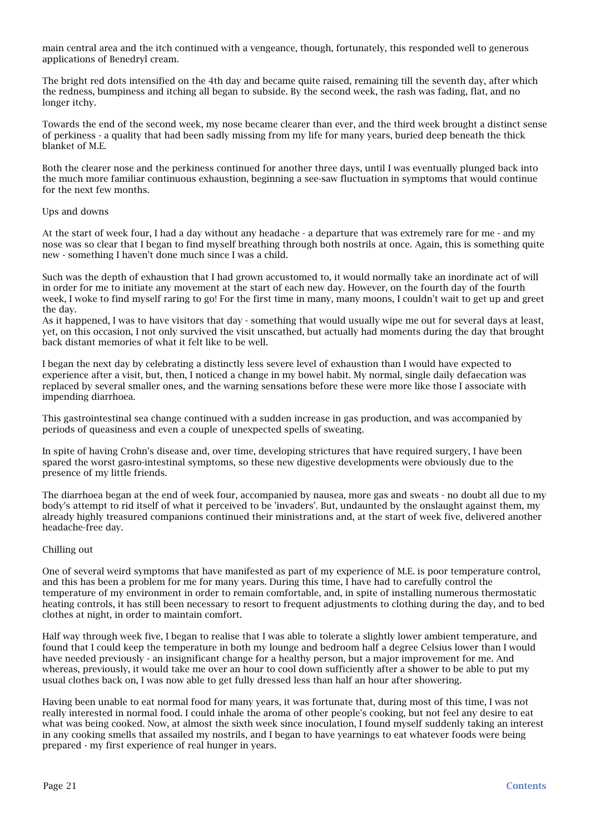main central area and the itch continued with a vengeance, though, fortunately, this responded well to generous applications of Benedryl cream.

The bright red dots intensified on the 4th day and became quite raised, remaining till the seventh day, after which the redness, bumpiness and itching all began to subside. By the second week, the rash was fading, flat, and no longer itchy.

Towards the end of the second week, my nose became clearer than ever, and the third week brought a distinct sense of perkiness - a quality that had been sadly missing from my life for many years, buried deep beneath the thick blanket of M.E.

Both the clearer nose and the perkiness continued for another three days, until I was eventually plunged back into the much more familiar continuous exhaustion, beginning a see-saw fluctuation in symptoms that would continue for the next few months.

### Ups and downs

At the start of week four, I had a day without any headache - a departure that was extremely rare for me - and my nose was so clear that I began to find myself breathing through both nostrils at once. Again, this is something quite new - something I haven't done much since I was a child.

Such was the depth of exhaustion that I had grown accustomed to, it would normally take an inordinate act of will in order for me to initiate any movement at the start of each new day. However, on the fourth day of the fourth week, I woke to find myself raring to go! For the first time in many, many moons, I couldn't wait to get up and greet the day.

As it happened, I was to have visitors that day - something that would usually wipe me out for several days at least, yet, on this occasion, I not only survived the visit unscathed, but actually had moments during the day that brought back distant memories of what it felt like to be well.

I began the next day by celebrating a distinctly less severe level of exhaustion than I would have expected to experience after a visit, but, then, I noticed a change in my bowel habit. My normal, single daily defaecation was replaced by several smaller ones, and the warning sensations before these were more like those I associate with impending diarrhoea.

This gastrointestinal sea change continued with a sudden increase in gas production, and was accompanied by periods of queasiness and even a couple of unexpected spells of sweating.

In spite of having Crohn's disease and, over time, developing strictures that have required surgery, I have been spared the worst gasro-intestinal symptoms, so these new digestive developments were obviously due to the presence of my little friends.

The diarrhoea began at the end of week four, accompanied by nausea, more gas and sweats - no doubt all due to my body's attempt to rid itself of what it perceived to be 'invaders'. But, undaunted by the onslaught against them, my already highly treasured companions continued their ministrations and, at the start of week five, delivered another headache-free day.

### Chilling out

One of several weird symptoms that have manifested as part of my experience of M.E. is poor temperature control, and this has been a problem for me for many years. During this time, I have had to carefully control the temperature of my environment in order to remain comfortable, and, in spite of installing numerous thermostatic heating controls, it has still been necessary to resort to frequent adjustments to clothing during the day, and to bed clothes at night, in order to maintain comfort.

Half way through week five, I began to realise that I was able to tolerate a slightly lower ambient temperature, and found that I could keep the temperature in both my lounge and bedroom half a degree Celsius lower than I would have needed previously - an insignificant change for a healthy person, but a major improvement for me. And whereas, previously, it would take me over an hour to cool down sufficiently after a shower to be able to put my usual clothes back on, I was now able to get fully dressed less than half an hour after showering.

Having been unable to eat normal food for many years, it was fortunate that, during most of this time, I was not really interested in normal food. I could inhale the aroma of other people's cooking, but not feel any desire to eat what was being cooked. Now, at almost the sixth week since inoculation, I found myself suddenly taking an interest in any cooking smells that assailed my nostrils, and I began to have yearnings to eat whatever foods were being prepared - my first experience of real hunger in years.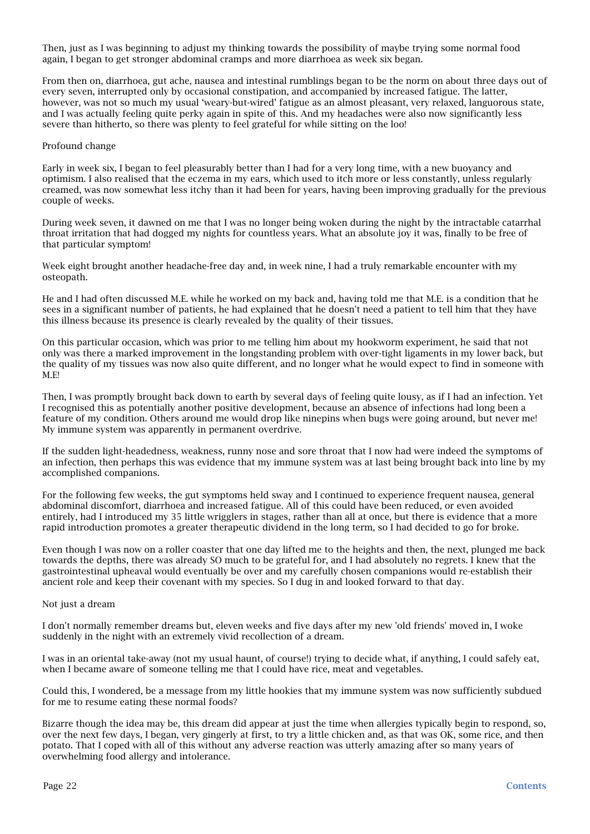Then, just as I was beginning to adjust my thinking towards the possibility of maybe trying some normal food again, I began to get stronger abdominal cramps and more diarrhoea as week six began.

From then on, diarrhoea, gut ache, nausea and intestinal rumblings began to be the norm on about three days out of every seven, interrupted only by occasional constipation, and accompanied by increased fatigue. The latter, however, was not so much my usual 'weary-but-wired' fatigue as an almost pleasant, very relaxed, languorous state, and I was actually feeling quite perky again in spite of this. And my headaches were also now significantly less severe than hitherto, so there was plenty to feel grateful for while sitting on the loo!

#### Profound change

Early in week six, I began to feel pleasurably better than I had for a very long time, with a new buoyancy and optimism. I also realised that the eczema in my ears, which used to itch more or less constantly, unless regularly creamed, was now somewhat less itchy than it had been for years, having been improving gradually for the previous couple of weeks.

During week seven, it dawned on me that I was no longer being woken during the night by the intractable catarrhal throat irritation that had dogged my nights for countless years. What an absolute joy it was, finally to be free of that particular symptom!

Week eight brought another headache-free day and, in week nine, I had a truly remarkable encounter with my osteopath.

He and I had often discussed M.E. while he worked on my back and, having told me that M.E. is a condition that he sees in a significant number of patients, he had explained that he doesn't need a patient to tell him that they have this illness because its presence is clearly revealed by the quality of their tissues.

On this particular occasion, which was prior to me telling him about my hookworm experiment, he said that not only was there a marked improvement in the longstanding problem with over-tight ligaments in my lower back, but the quality of my tissues was now also quite different, and no longer what he would expect to find in someone with M.E!

Then, I was promptly brought back down to earth by several days of feeling quite lousy, as if I had an infection. Yet I recognised this as potentially another positive development, because an absence of infections had long been a feature of my condition. Others around me would drop like ninepins when bugs were going around, but never me! My immune system was apparently in permanent overdrive.

If the sudden light-headedness, weakness, runny nose and sore throat that I now had were indeed the symptoms of an infection, then perhaps this was evidence that my immune system was at last being brought back into line by my accomplished companions.

For the following few weeks, the gut symptoms held sway and I continued to experience frequent nausea, general abdominal discomfort, diarrhoea and increased fatigue. All of this could have been reduced, or even avoided entirely, had I introduced my 35 little wrigglers in stages, rather than all at once, but there is evidence that a more rapid introduction promotes a greater therapeutic dividend in the long term, so I had decided to go for broke.

Even though I was now on a roller coaster that one day lifted me to the heights and then, the next, plunged me back towards the depths, there was already SO much to be grateful for, and I had absolutely no regrets. I knew that the gastrointestinal upheaval would eventually be over and my carefully chosen companions would re-establish their ancient role and keep their covenant with my species. So I dug in and looked forward to that day.

#### Not just a dream

I don't normally remember dreams but, eleven weeks and five days after my new 'old friends' moved in, I woke suddenly in the night with an extremely vivid recollection of a dream.

I was in an oriental take-away (not my usual haunt, of course!) trying to decide what, if anything, I could safely eat, when I became aware of someone telling me that I could have rice, meat and vegetables.

Could this, I wondered, be a message from my little hookies that my immune system was now sufficiently subdued for me to resume eating these normal foods?

Bizarre though the idea may be, this dream did appear at just the time when allergies typically begin to respond, so, over the next few days, I began, very gingerly at first, to try a little chicken and, as that was OK, some rice, and then potato. That I coped with all of this without any adverse reaction was utterly amazing after so many years of overwhelming food allergy and intolerance.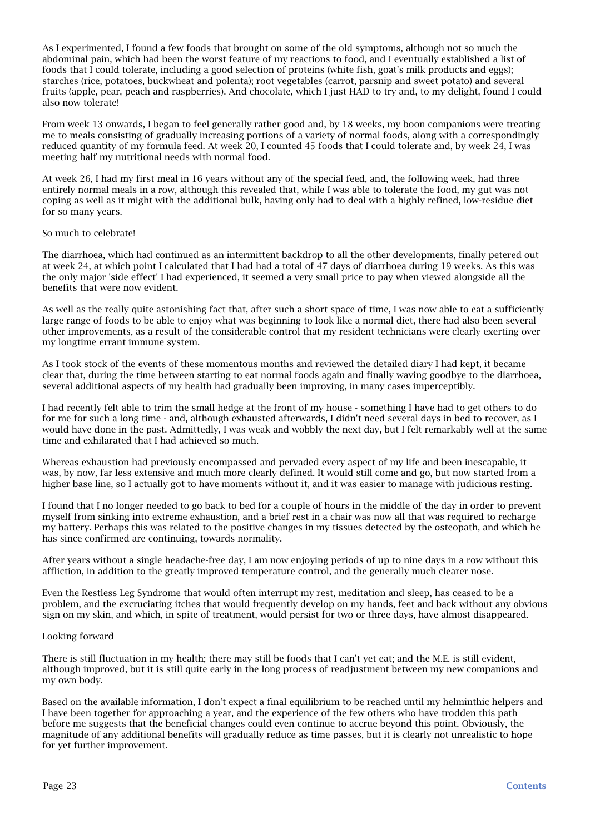As I experimented, I found a few foods that brought on some of the old symptoms, although not so much the abdominal pain, which had been the worst feature of my reactions to food, and I eventually established a list of foods that I could tolerate, including a good selection of proteins (white fish, goat's milk products and eggs); starches (rice, potatoes, buckwheat and polenta); root vegetables (carrot, parsnip and sweet potato) and several fruits (apple, pear, peach and raspberries). And chocolate, which I just HAD to try and, to my delight, found I could also now tolerate!

From week 13 onwards, I began to feel generally rather good and, by 18 weeks, my boon companions were treating me to meals consisting of gradually increasing portions of a variety of normal foods, along with a correspondingly reduced quantity of my formula feed. At week 20, I counted 45 foods that I could tolerate and, by week 24, I was meeting half my nutritional needs with normal food.

At week 26, I had my first meal in 16 years without any of the special feed, and, the following week, had three entirely normal meals in a row, although this revealed that, while I was able to tolerate the food, my gut was not coping as well as it might with the additional bulk, having only had to deal with a highly refined, low-residue diet for so many years.

### So much to celebrate!

The diarrhoea, which had continued as an intermittent backdrop to all the other developments, finally petered out at week 24, at which point I calculated that I had had a total of 47 days of diarrhoea during 19 weeks. As this was the only major 'side effect' I had experienced, it seemed a very small price to pay when viewed alongside all the benefits that were now evident.

As well as the really quite astonishing fact that, after such a short space of time, I was now able to eat a sufficiently large range of foods to be able to enjoy what was beginning to look like a normal diet, there had also been several other improvements, as a result of the considerable control that my resident technicians were clearly exerting over my longtime errant immune system.

As I took stock of the events of these momentous months and reviewed the detailed diary I had kept, it became clear that, during the time between starting to eat normal foods again and finally waving goodbye to the diarrhoea, several additional aspects of my health had gradually been improving, in many cases imperceptibly.

I had recently felt able to trim the small hedge at the front of my house - something I have had to get others to do for me for such a long time - and, although exhausted afterwards, I didn't need several days in bed to recover, as I would have done in the past. Admittedly, I was weak and wobbly the next day, but I felt remarkably well at the same time and exhilarated that I had achieved so much.

Whereas exhaustion had previously encompassed and pervaded every aspect of my life and been inescapable, it was, by now, far less extensive and much more clearly defined. It would still come and go, but now started from a higher base line, so I actually got to have moments without it, and it was easier to manage with judicious resting.

I found that I no longer needed to go back to bed for a couple of hours in the middle of the day in order to prevent myself from sinking into extreme exhaustion, and a brief rest in a chair was now all that was required to recharge my battery. Perhaps this was related to the positive changes in my tissues detected by the osteopath, and which he has since confirmed are continuing, towards normality.

After years without a single headache-free day, I am now enjoying periods of up to nine days in a row without this affliction, in addition to the greatly improved temperature control, and the generally much clearer nose.

Even the Restless Leg Syndrome that would often interrupt my rest, meditation and sleep, has ceased to be a problem, and the excruciating itches that would frequently develop on my hands, feet and back without any obvious sign on my skin, and which, in spite of treatment, would persist for two or three days, have almost disappeared.

#### Looking forward

There is still fluctuation in my health; there may still be foods that I can't yet eat; and the M.E. is still evident, although improved, but it is still quite early in the long process of readjustment between my new companions and my own body.

Based on the available information, I don't expect a final equilibrium to be reached until my helminthic helpers and I have been together for approaching a year, and the experience of the few others who have trodden this path before me suggests that the beneficial changes could even continue to accrue beyond this point. Obviously, the magnitude of any additional benefits will gradually reduce as time passes, but it is clearly not unrealistic to hope for yet further improvement.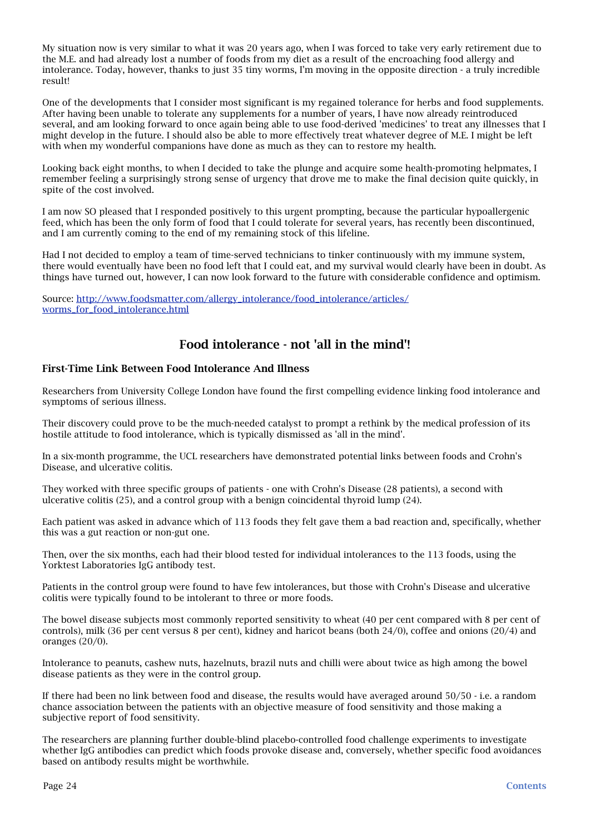My situation now is very similar to what it was 20 years ago, when I was forced to take very early retirement due to the M.E. and had already lost a number of foods from my diet as a result of the encroaching food allergy and intolerance. Today, however, thanks to just 35 tiny worms, I'm moving in the opposite direction - a truly incredible result!

One of the developments that I consider most significant is my regained tolerance for herbs and food supplements. After having been unable to tolerate any supplements for a number of years, I have now already reintroduced several, and am looking forward to once again being able to use food-derived 'medicines' to treat any illnesses that I might develop in the future. I should also be able to more effectively treat whatever degree of M.E. I might be left with when my wonderful companions have done as much as they can to restore my health.

Looking back eight months, to when I decided to take the plunge and acquire some health-promoting helpmates, I remember feeling a surprisingly strong sense of urgency that drove me to make the final decision quite quickly, in spite of the cost involved.

I am now SO pleased that I responded positively to this urgent prompting, because the particular hypoallergenic feed, which has been the only form of food that I could tolerate for several years, has recently been discontinued, and I am currently coming to the end of my remaining stock of this lifeline.

Had I not decided to employ a team of time-served technicians to tinker continuously with my immune system, there would eventually have been no food left that I could eat, and my survival would clearly have been in doubt. As things have turned out, however, I can now look forward to the future with considerable confidence and optimism.

Source: [http://www.foodsmatter.com/allergy\\_intolerance/food\\_intolerance/articles/](http://www.foodsmatter.com/allergy_intolerance/food_intolerance/articles/worms_for_food_intolerance.html) worms for food intolerance.html

## <span id="page-23-0"></span>Food intolerance - not 'all in the mind'!

### First-Time Link Between Food Intolerance And Illness

Researchers from University College London have found the first compelling evidence linking food intolerance and symptoms of serious illness.

Their discovery could prove to be the much-needed catalyst to prompt a rethink by the medical profession of its hostile attitude to food intolerance, which is typically dismissed as 'all in the mind'.

In a six-month programme, the UCL researchers have demonstrated potential links between foods and Crohn's Disease, and ulcerative colitis.

They worked with three specific groups of patients - one with Crohn's Disease (28 patients), a second with ulcerative colitis (25), and a control group with a benign coincidental thyroid lump (24).

Each patient was asked in advance which of 113 foods they felt gave them a bad reaction and, specifically, whether this was a gut reaction or non-gut one.

Then, over the six months, each had their blood tested for individual intolerances to the 113 foods, using the Yorktest Laboratories IgG antibody test.

Patients in the control group were found to have few intolerances, but those with Crohn's Disease and ulcerative colitis were typically found to be intolerant to three or more foods.

The bowel disease subjects most commonly reported sensitivity to wheat (40 per cent compared with 8 per cent of controls), milk (36 per cent versus 8 per cent), kidney and haricot beans (both 24/0), coffee and onions (20/4) and oranges (20/0).

Intolerance to peanuts, cashew nuts, hazelnuts, brazil nuts and chilli were about twice as high among the bowel disease patients as they were in the control group.

If there had been no link between food and disease, the results would have averaged around 50/50 - i.e. a random chance association between the patients with an objective measure of food sensitivity and those making a subjective report of food sensitivity.

The researchers are planning further double-blind placebo-controlled food challenge experiments to investigate whether IgG antibodies can predict which foods provoke disease and, conversely, whether specific food avoidances based on antibody results might be worthwhile.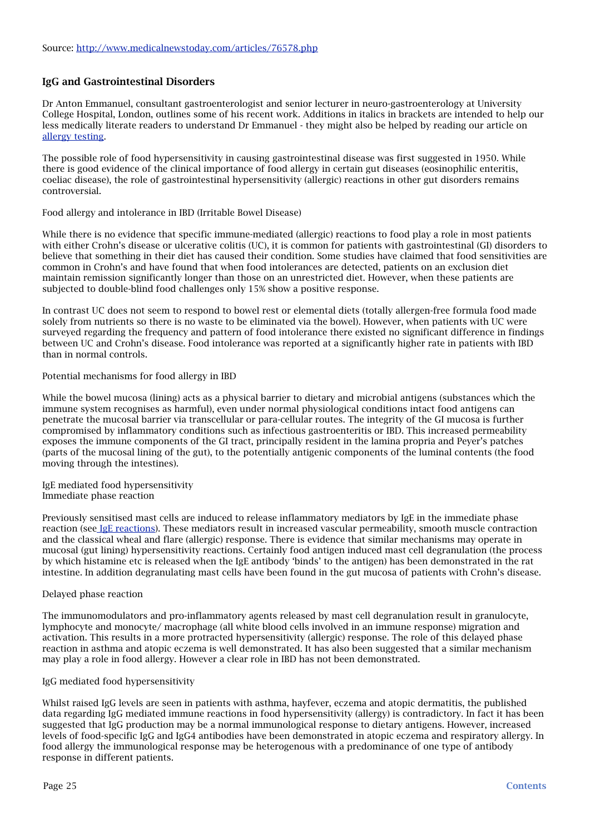### IgG and Gastrointestinal Disorders

Dr Anton Emmanuel, consultant gastroenterologist and senior lecturer in neuro-gastroenterology at University College Hospital, London, outlines some of his recent work. Additions in italics in brackets are intended to help our less medically literate readers to understand Dr Emmanuel - they might also be helped by reading our article on [allergy testing.](http://www.foodsmatter.com/allergy_intolerance/allergy_testing/articles/allergy_tests_07.html)

The possible role of food hypersensitivity in causing gastrointestinal disease was first suggested in 1950. While there is good evidence of the clinical importance of food allergy in certain gut diseases (eosinophilic enteritis, coeliac disease), the role of gastrointestinal hypersensitivity (allergic) reactions in other gut disorders remains controversial.

### Food allergy and intolerance in IBD (Irritable Bowel Disease)

While there is no evidence that specific immune-mediated (allergic) reactions to food play a role in most patients with either Crohn's disease or ulcerative colitis (UC), it is common for patients with gastrointestinal (GI) disorders to believe that something in their diet has caused their condition. Some studies have claimed that food sensitivities are common in Crohn's and have found that when food intolerances are detected, patients on an exclusion diet maintain remission significantly longer than those on an unrestricted diet. However, when these patients are subjected to double-blind food challenges only 15% show a positive response.

In contrast UC does not seem to respond to bowel rest or elemental diets (totally allergen-free formula food made solely from nutrients so there is no waste to be eliminated via the bowel). However, when patients with UC were surveyed regarding the frequency and pattern of food intolerance there existed no significant difference in findings between UC and Crohn's disease. Food intolerance was reported at a significantly higher rate in patients with IBD than in normal controls.

### Potential mechanisms for food allergy in IBD

While the bowel mucosa (lining) acts as a physical barrier to dietary and microbial antigens (substances which the immune system recognises as harmful), even under normal physiological conditions intact food antigens can penetrate the mucosal barrier via transcellular or para-cellular routes. The integrity of the GI mucosa is further compromised by inflammatory conditions such as infectious gastroenteritis or IBD. This increased permeability exposes the immune components of the GI tract, principally resident in the lamina propria and Peyer's patches (parts of the mucosal lining of the gut), to the potentially antigenic components of the luminal contents (the food moving through the intestines).

IgE mediated food hypersensitivity Immediate phase reaction

Previously sensitised mast cells are induced to release inflammatory mediators by IgE in the immediate phase reaction (see [IgE reactions\)](http://www.foodsmatter.com/allergy_intolerance/allergy_testing/articles/allergy_tests_07_2.html). These mediators result in increased vascular permeability, smooth muscle contraction and the classical wheal and flare (allergic) response. There is evidence that similar mechanisms may operate in mucosal (gut lining) hypersensitivity reactions. Certainly food antigen induced mast cell degranulation (the process by which histamine etc is released when the IgE antibody 'binds' to the antigen) has been demonstrated in the rat intestine. In addition degranulating mast cells have been found in the gut mucosa of patients with Crohn's disease.

### Delayed phase reaction

The immunomodulators and pro-inflammatory agents released by mast cell degranulation result in granulocyte, lymphocyte and monocyte/ macrophage (all white blood cells involved in an immune response) migration and activation. This results in a more protracted hypersensitivity (allergic) response. The role of this delayed phase reaction in asthma and atopic eczema is well demonstrated. It has also been suggested that a similar mechanism may play a role in food allergy. However a clear role in IBD has not been demonstrated.

### IgG mediated food hypersensitivity

Whilst raised IgG levels are seen in patients with asthma, hayfever, eczema and atopic dermatitis, the published data regarding IgG mediated immune reactions in food hypersensitivity (allergy) is contradictory. In fact it has been suggested that IgG production may be a normal immunological response to dietary antigens. However, increased levels of food-specific IgG and IgG4 antibodies have been demonstrated in atopic eczema and respiratory allergy. In food allergy the immunological response may be heterogenous with a predominance of one type of antibody response in different patients.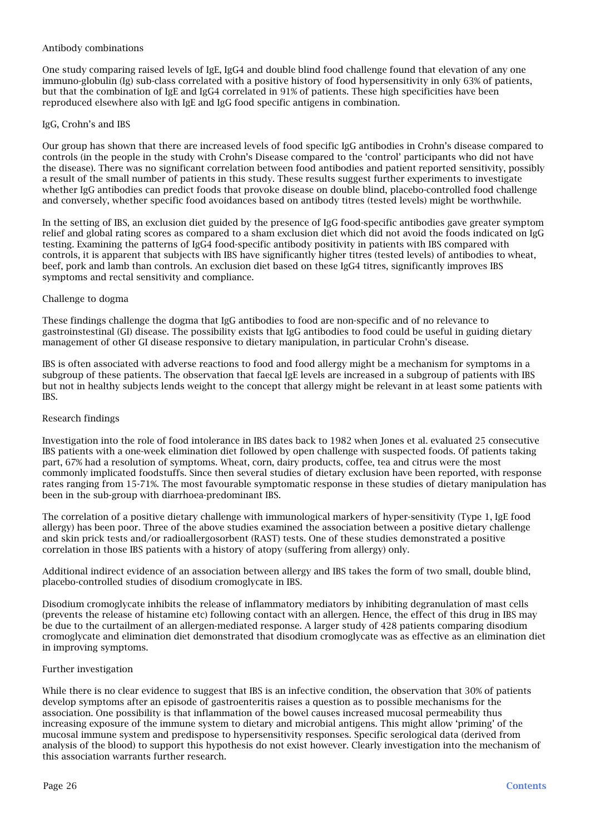### Antibody combinations

One study comparing raised levels of IgE, IgG4 and double blind food challenge found that elevation of any one immuno-globulin (Ig) sub-class correlated with a positive history of food hypersensitivity in only 63% of patients, but that the combination of IgE and IgG4 correlated in 91% of patients. These high specificities have been reproduced elsewhere also with IgE and IgG food specific antigens in combination.

### IgG, Crohn's and IBS

Our group has shown that there are increased levels of food specific IgG antibodies in Crohn's disease compared to controls (in the people in the study with Crohn's Disease compared to the 'control' participants who did not have the disease). There was no significant correlation between food antibodies and patient reported sensitivity, possibly a result of the small number of patients in this study. These results suggest further experiments to investigate whether IgG antibodies can predict foods that provoke disease on double blind, placebo-controlled food challenge and conversely, whether specific food avoidances based on antibody titres (tested levels) might be worthwhile.

In the setting of IBS, an exclusion diet guided by the presence of IgG food-specific antibodies gave greater symptom relief and global rating scores as compared to a sham exclusion diet which did not avoid the foods indicated on IgG testing. Examining the patterns of IgG4 food-specific antibody positivity in patients with IBS compared with controls, it is apparent that subjects with IBS have significantly higher titres (tested levels) of antibodies to wheat, beef, pork and lamb than controls. An exclusion diet based on these IgG4 titres, significantly improves IBS symptoms and rectal sensitivity and compliance.

### Challenge to dogma

These findings challenge the dogma that IgG antibodies to food are non-specific and of no relevance to gastroinstestinal (GI) disease. The possibility exists that IgG antibodies to food could be useful in guiding dietary management of other GI disease responsive to dietary manipulation, in particular Crohn's disease.

IBS is often associated with adverse reactions to food and food allergy might be a mechanism for symptoms in a subgroup of these patients. The observation that faecal IgE levels are increased in a subgroup of patients with IBS but not in healthy subjects lends weight to the concept that allergy might be relevant in at least some patients with IBS.

### Research findings

Investigation into the role of food intolerance in IBS dates back to 1982 when Jones et al. evaluated 25 consecutive IBS patients with a one-week elimination diet followed by open challenge with suspected foods. Of patients taking part, 67% had a resolution of symptoms. Wheat, corn, dairy products, coffee, tea and citrus were the most commonly implicated foodstuffs. Since then several studies of dietary exclusion have been reported, with response rates ranging from 15-71%. The most favourable symptomatic response in these studies of dietary manipulation has been in the sub-group with diarrhoea-predominant IBS.

The correlation of a positive dietary challenge with immunological markers of hyper-sensitivity (Type 1, IgE food allergy) has been poor. Three of the above studies examined the association between a positive dietary challenge and skin prick tests and/or radioallergosorbent (RAST) tests. One of these studies demonstrated a positive correlation in those IBS patients with a history of atopy (suffering from allergy) only.

Additional indirect evidence of an association between allergy and IBS takes the form of two small, double blind, placebo-controlled studies of disodium cromoglycate in IBS.

Disodium cromoglycate inhibits the release of inflammatory mediators by inhibiting degranulation of mast cells (prevents the release of histamine etc) following contact with an allergen. Hence, the effect of this drug in IBS may be due to the curtailment of an allergen-mediated response. A larger study of 428 patients comparing disodium cromoglycate and elimination diet demonstrated that disodium cromoglycate was as effective as an elimination diet in improving symptoms.

#### Further investigation

While there is no clear evidence to suggest that IBS is an infective condition, the observation that 30% of patients develop symptoms after an episode of gastroenteritis raises a question as to possible mechanisms for the association. One possibility is that inflammation of the bowel causes increased mucosal permeability thus increasing exposure of the immune system to dietary and microbial antigens. This might allow 'priming' of the mucosal immune system and predispose to hypersensitivity responses. Specific serological data (derived from analysis of the blood) to support this hypothesis do not exist however. Clearly investigation into the mechanism of this association warrants further research.